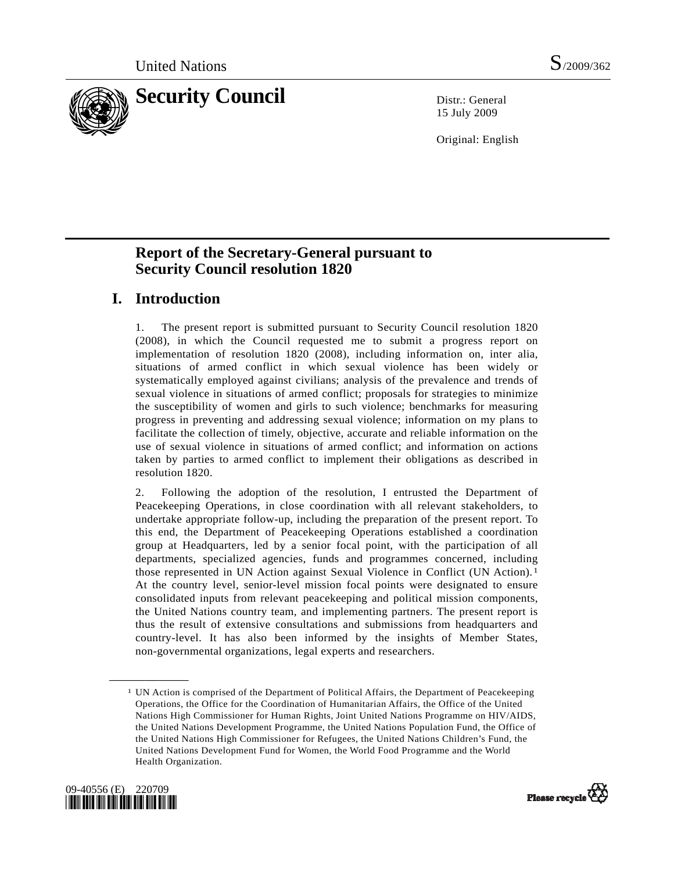

15 July 2009

Original: English

## **Report of the Secretary-General pursuant to Security Council resolution 1820**

# **I. Introduction**

1. The present report is submitted pursuant to Security Council resolution 1820 (2008), in which the Council requested me to submit a progress report on implementation of resolution 1820 (2008), including information on, inter alia, situations of armed conflict in which sexual violence has been widely or systematically employed against civilians; analysis of the prevalence and trends of sexual violence in situations of armed conflict; proposals for strategies to minimize the susceptibility of women and girls to such violence; benchmarks for measuring progress in preventing and addressing sexual violence; information on my plans to facilitate the collection of timely, objective, accurate and reliable information on the use of sexual violence in situations of armed conflict; and information on actions taken by parties to armed conflict to implement their obligations as described in resolution 1820.

2. Following the adoption of the resolution, I entrusted the Department of Peacekeeping Operations, in close coordination with all relevant stakeholders, to undertake appropriate follow-up, including the preparation of the present report. To this end, the Department of Peacekeeping Operations established a coordination group at Headquarters, led by a senior focal point, with the participation of all departments, specialized agencies, funds and programmes concerned, including those represented in UN Action against Sexual Violence in Conflict (UN Action).[1](#page-0-0) At the country level, senior-level mission focal points were designated to ensure consolidated inputs from relevant peacekeeping and political mission components, the United Nations country team, and implementing partners. The present report is thus the result of extensive consultations and submissions from headquarters and country-level. It has also been informed by the insights of Member States, non-governmental organizations, legal experts and researchers.

<span id="page-0-0"></span> $1$  UN Action is comprised of the Department of Political Affairs, the Department of Peacekeeping Operations, the Office for the Coordination of Humanitarian Affairs, the Office of the United Nations High Commissioner for Human Rights, Joint United Nations Programme on HIV/AIDS, the United Nations Development Programme, the United Nations Population Fund, the Office of the United Nations High Commissioner for Refugees, the United Nations Children's Fund, the United Nations Development Fund for Women, the World Food Programme and the World Health Organization.



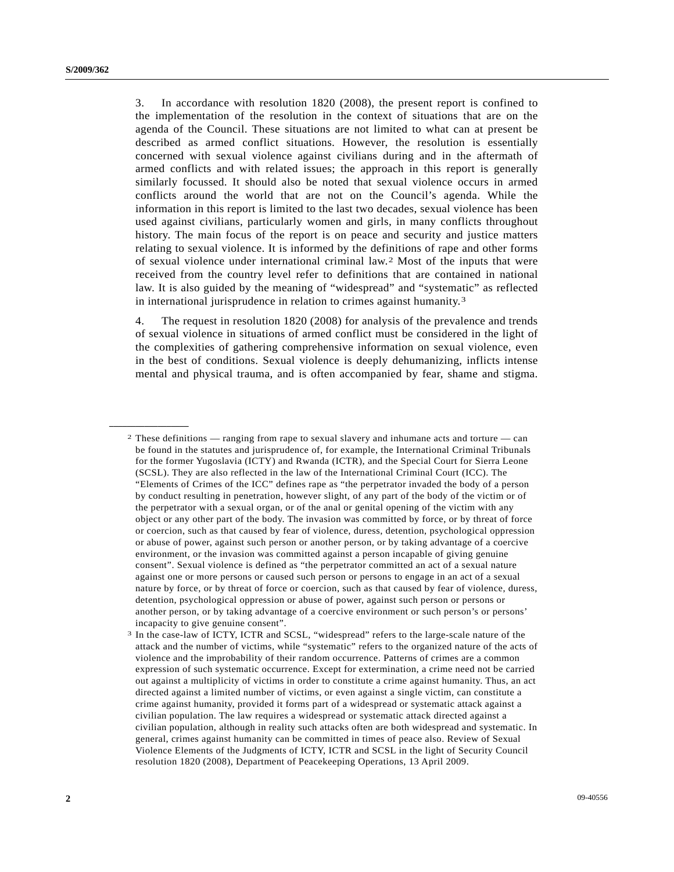<span id="page-1-0"></span>**\_\_\_\_\_\_\_\_\_\_\_\_\_\_\_\_\_\_** 

3. In accordance with resolution 1820 (2008), the present report is confined to the implementation of the resolution in the context of situations that are on the agenda of the Council. These situations are not limited to what can at present be described as armed conflict situations. However, the resolution is essentially concerned with sexual violence against civilians during and in the aftermath of armed conflicts and with related issues; the approach in this report is generally similarly focussed. It should also be noted that sexual violence occurs in armed conflicts around the world that are not on the Council's agenda. While the information in this report is limited to the last two decades, sexual violence has been used against civilians, particularly women and girls, in many conflicts throughout history. The main focus of the report is on peace and security and justice matters relating to sexual violence. It is informed by the definitions of rape and other forms of sexual violence under international criminal law.[2](#page-1-0) Most of the inputs that were received from the country level refer to definitions that are contained in national law. It is also guided by the meaning of "widespread" and "systematic" as reflected in international jurisprudence in relation to crimes against humanity.[3](#page-1-1)

4. The request in resolution 1820 (2008) for analysis of the prevalence and trends of sexual violence in situations of armed conflict must be considered in the light of the complexities of gathering comprehensive information on sexual violence, even in the best of conditions. Sexual violence is deeply dehumanizing, inflicts intense mental and physical trauma, and is often accompanied by fear, shame and stigma.

<sup>2</sup> These definitions — ranging from rape to sexual slavery and inhumane acts and torture — can be found in the statutes and jurisprudence of, for example, the International Criminal Tribunals for the former Yugoslavia (ICTY) and Rwanda (ICTR), and the Special Court for Sierra Leone (SCSL). They are also reflected in the law of the International Criminal Court (ICC). The "Elements of Crimes of the ICC" defines rape as "the perpetrator invaded the body of a person by conduct resulting in penetration, however slight, of any part of the body of the victim or of the perpetrator with a sexual organ, or of the anal or genital opening of the victim with any object or any other part of the body. The invasion was committed by force, or by threat of force or coercion, such as that caused by fear of violence, duress, detention, psychological oppression or abuse of power, against such person or another person, or by taking advantage of a coercive environment, or the invasion was committed against a person incapable of giving genuine consent". Sexual violence is defined as "the perpetrator committed an act of a sexual nature against one or more persons or caused such person or persons to engage in an act of a sexual nature by force, or by threat of force or coercion, such as that caused by fear of violence, duress, detention, psychological oppression or abuse of power, against such person or persons or another person, or by taking advantage of a coercive environment or such person's or persons' incapacity to give genuine consent".

<span id="page-1-1"></span><sup>3</sup> In the case-law of ICTY, ICTR and SCSL, "widespread" refers to the large-scale nature of the attack and the number of victims, while "systematic" refers to the organized nature of the acts of violence and the improbability of their random occurrence. Patterns of crimes are a common expression of such systematic occurrence. Except for extermination, a crime need not be carried out against a multiplicity of victims in order to constitute a crime against humanity. Thus, an act directed against a limited number of victims, or even against a single victim, can constitute a crime against humanity, provided it forms part of a widespread or systematic attack against a civilian population. The law requires a widespread or systematic attack directed against a civilian population, although in reality such attacks often are both widespread and systematic. In general, crimes against humanity can be committed in times of peace also. Review of Sexual Violence Elements of the Judgments of ICTY, ICTR and SCSL in the light of Security Council resolution 1820 (2008), Department of Peacekeeping Operations, 13 April 2009.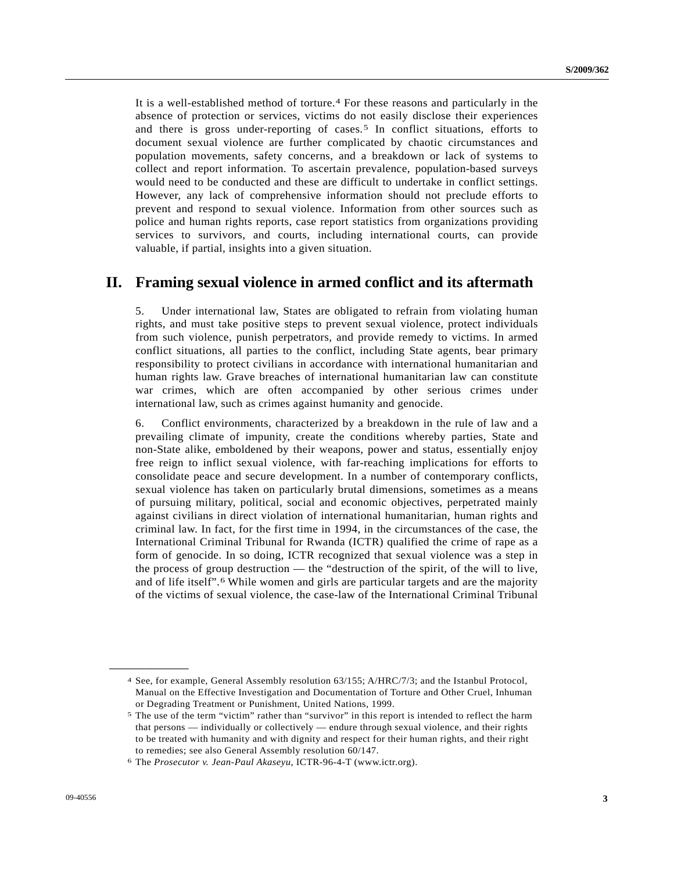It is a well-established method of torture.<sup>[4](#page-2-0)</sup> For these reasons and particularly in the absence of protection or services, victims do not easily disclose their experiences and there is gross under-reporting of cases.<sup>5</sup> In conflict situations, efforts to document sexual violence are further complicated by chaotic circumstances and population movements, safety concerns, and a breakdown or lack of systems to collect and report information. To ascertain prevalence, population-based surveys would need to be conducted and these are difficult to undertake in conflict settings. However, any lack of comprehensive information should not preclude efforts to prevent and respond to sexual violence. Information from other sources such as police and human rights reports, case report statistics from organizations providing services to survivors, and courts, including international courts, can provide valuable, if partial, insights into a given situation.

### **II. Framing sexual violence in armed conflict and its aftermath**

5. Under international law, States are obligated to refrain from violating human rights, and must take positive steps to prevent sexual violence, protect individuals from such violence, punish perpetrators, and provide remedy to victims. In armed conflict situations, all parties to the conflict, including State agents, bear primary responsibility to protect civilians in accordance with international humanitarian and human rights law. Grave breaches of international humanitarian law can constitute war crimes, which are often accompanied by other serious crimes under international law, such as crimes against humanity and genocide.

6. Conflict environments, characterized by a breakdown in the rule of law and a prevailing climate of impunity, create the conditions whereby parties, State and non-State alike, emboldened by their weapons, power and status, essentially enjoy free reign to inflict sexual violence, with far-reaching implications for efforts to consolidate peace and secure development. In a number of contemporary conflicts, sexual violence has taken on particularly brutal dimensions, sometimes as a means of pursuing military, political, social and economic objectives, perpetrated mainly against civilians in direct violation of international humanitarian, human rights and criminal law. In fact, for the first time in 1994, in the circumstances of the case, the International Criminal Tribunal for Rwanda (ICTR) qualified the crime of rape as a form of genocide. In so doing, ICTR recognized that sexual violence was a step in the process of group destruction — the "destruction of the spirit, of the will to live, and of life itself".[6](#page-2-2) While women and girls are particular targets and are the majority of the victims of sexual violence, the case-law of the International Criminal Tribunal

<span id="page-2-0"></span><sup>4</sup> See, for example, General Assembly resolution 63/155; A/HRC/7/3; and the Istanbul Protocol, Manual on the Effective Investigation and Documentation of Torture and Other Cruel, Inhuman or Degrading Treatment or Punishment, United Nations, 1999.

<span id="page-2-1"></span><sup>5</sup> The use of the term "victim" rather than "survivor" in this report is intended to reflect the harm that persons — individually or collectively — endure through sexual violence, and their rights to be treated with humanity and with dignity and respect for their human rights, and their right to remedies; see also General Assembly resolution 60/147.

<span id="page-2-2"></span><sup>6</sup> The *Prosecutor v. Jean-Paul Akaseyu*, ICTR-96-4-T (www.ictr.org).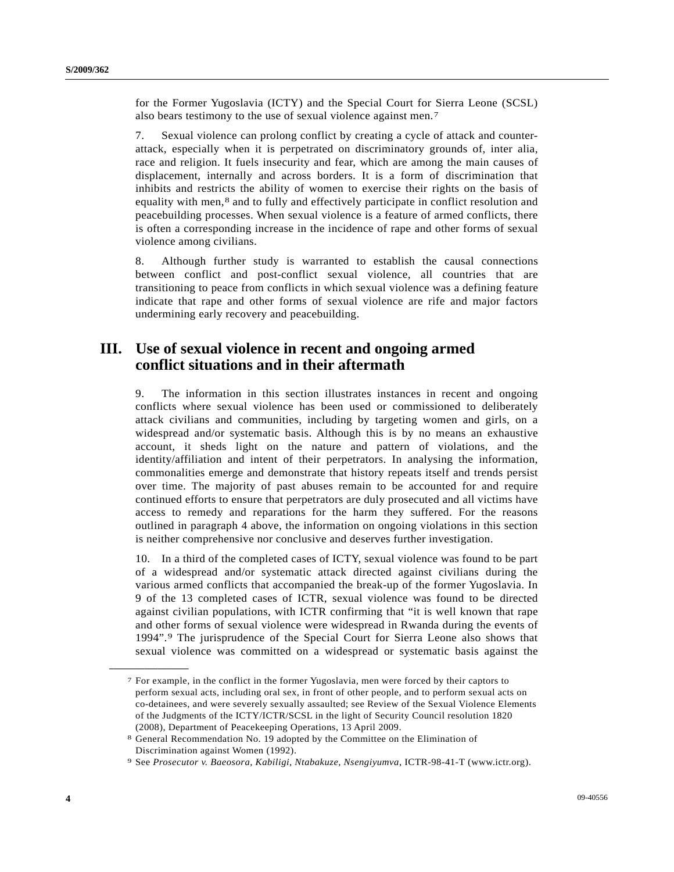for the Former Yugoslavia (ICTY) and the Special Court for Sierra Leone (SCSL) also bears testimony to the use of sexual violence against men.[7](#page-3-0)

7. Sexual violence can prolong conflict by creating a cycle of attack and counterattack, especially when it is perpetrated on discriminatory grounds of, inter alia, race and religion. It fuels insecurity and fear, which are among the main causes of displacement, internally and across borders. It is a form of discrimination that inhibits and restricts the ability of women to exercise their rights on the basis of equality with men,<sup>[8](#page-3-1)</sup> and to fully and effectively participate in conflict resolution and peacebuilding processes. When sexual violence is a feature of armed conflicts, there is often a corresponding increase in the incidence of rape and other forms of sexual violence among civilians.

8. Although further study is warranted to establish the causal connections between conflict and post-conflict sexual violence, all countries that are transitioning to peace from conflicts in which sexual violence was a defining feature indicate that rape and other forms of sexual violence are rife and major factors undermining early recovery and peacebuilding.

## **III. Use of sexual violence in recent and ongoing armed conflict situations and in their aftermath**

9. The information in this section illustrates instances in recent and ongoing conflicts where sexual violence has been used or commissioned to deliberately attack civilians and communities, including by targeting women and girls, on a widespread and/or systematic basis. Although this is by no means an exhaustive account, it sheds light on the nature and pattern of violations, and the identity/affiliation and intent of their perpetrators. In analysing the information, commonalities emerge and demonstrate that history repeats itself and trends persist over time. The majority of past abuses remain to be accounted for and require continued efforts to ensure that perpetrators are duly prosecuted and all victims have access to remedy and reparations for the harm they suffered. For the reasons outlined in paragraph 4 above, the information on ongoing violations in this section is neither comprehensive nor conclusive and deserves further investigation.

10. In a third of the completed cases of ICTY, sexual violence was found to be part of a widespread and/or systematic attack directed against civilians during the various armed conflicts that accompanied the break-up of the former Yugoslavia. In 9 of the 13 completed cases of ICTR, sexual violence was found to be directed against civilian populations, with ICTR confirming that "it is well known that rape and other forms of sexual violence were widespread in Rwanda during the events of 1994".[9](#page-3-2) The jurisprudence of the Special Court for Sierra Leone also shows that sexual violence was committed on a widespread or systematic basis against the

<span id="page-3-0"></span><sup>7</sup> For example, in the conflict in the former Yugoslavia, men were forced by their captors to perform sexual acts, including oral sex, in front of other people, and to perform sexual acts on co-detainees, and were severely sexually assaulted; see Review of the Sexual Violence Elements of the Judgments of the ICTY/ICTR/SCSL in the light of Security Council resolution 1820 (2008), Department of Peacekeeping Operations, 13 April 2009.

<span id="page-3-1"></span><sup>8</sup> General Recommendation No. 19 adopted by the Committee on the Elimination of Discrimination against Women (1992).

<span id="page-3-2"></span><sup>9</sup> See *Prosecutor v. Baeosora, Kabiligi, Ntabakuze, Nsengiyumva*, ICTR-98-41-T (www.ictr.org).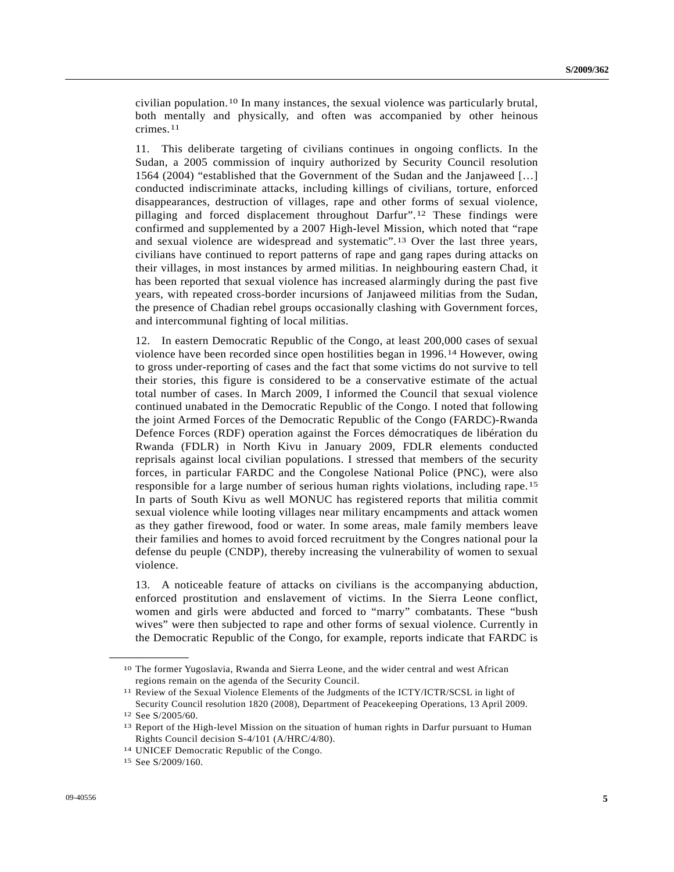civilian population.[10](#page-4-0) In many instances, the sexual violence was particularly brutal, both mentally and physically, and often was accompanied by other heinous crimes.[1](#page-4-1)1

11. This deliberate targeting of civilians continues in ongoing conflicts. In the Sudan, a 2005 commission of inquiry authorized by Security Council resolution 1564 (2004) "established that the Government of the Sudan and the Janjaweed […] conducted indiscriminate attacks, including killings of civilians, torture, enforced disappearances, destruction of villages, rape and other forms of sexual violence, pillaging and forced displacement throughout Darfur".[12](#page-4-2) These findings were confirmed and supplemented by a 2007 High-level Mission, which noted that "rape and sexual violence are widespread and systematic".[1](#page-4-3)3 Over the last three years, civilians have continued to report patterns of rape and gang rapes during attacks on their villages, in most instances by armed militias. In neighbouring eastern Chad, it has been reported that sexual violence has increased alarmingly during the past five years, with repeated cross-border incursions of Janjaweed militias from the Sudan, the presence of Chadian rebel groups occasionally clashing with Government forces, and intercommunal fighting of local militias.

12. In eastern Democratic Republic of the Congo, at least 200,000 cases of sexual violence have been recorded since open hostilities began in 1996.[14](#page-4-4) However, owing to gross under-reporting of cases and the fact that some victims do not survive to tell their stories, this figure is considered to be a conservative estimate of the actual total number of cases. In March 2009, I informed the Council that sexual violence continued unabated in the Democratic Republic of the Congo. I noted that following the joint Armed Forces of the Democratic Republic of the Congo (FARDC)-Rwanda Defence Forces (RDF) operation against the Forces démocratiques de libération du Rwanda (FDLR) in North Kivu in January 2009, FDLR elements conducted reprisals against local civilian populations. I stressed that members of the security forces, in particular FARDC and the Congolese National Police (PNC), were also responsible for a large number of serious human rights violations, including rape. [15](#page-4-5) In parts of South Kivu as well MONUC has registered reports that militia commit sexual violence while looting villages near military encampments and attack women as they gather firewood, food or water. In some areas, male family members leave their families and homes to avoid forced recruitment by the Congres national pour la defense du peuple (CNDP), thereby increasing the vulnerability of women to sexual violence.

13. A noticeable feature of attacks on civilians is the accompanying abduction, enforced prostitution and enslavement of victims. In the Sierra Leone conflict, women and girls were abducted and forced to "marry" combatants. These "bush wives" were then subjected to rape and other forms of sexual violence. Currently in the Democratic Republic of the Congo, for example, reports indicate that FARDC is

<span id="page-4-0"></span><sup>10</sup> The former Yugoslavia, Rwanda and Sierra Leone, and the wider central and west African regions remain on the agenda of the Security Council.

<span id="page-4-1"></span><sup>11</sup> Review of the Sexual Violence Elements of the Judgments of the ICTY/ICTR/SCSL in light of Security Council resolution 1820 (2008), Department of Peacekeeping Operations, 13 April 2009.

<span id="page-4-2"></span><sup>12</sup> See S/2005/60.

<span id="page-4-3"></span><sup>13</sup> Report of the High-level Mission on the situation of human rights in Darfur pursuant to Human Rights Council decision S-4/101 (A/HRC/4/80).

<span id="page-4-4"></span><sup>14</sup> UNICEF Democratic Republic of the Congo.

<span id="page-4-5"></span><sup>15</sup> See S/2009/160.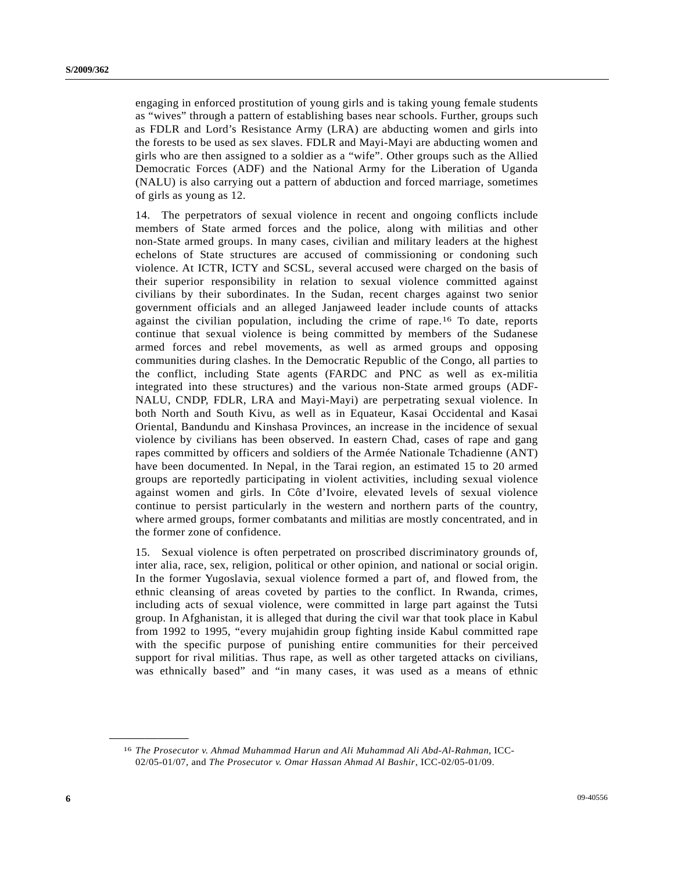engaging in enforced prostitution of young girls and is taking young female students as "wives" through a pattern of establishing bases near schools. Further, groups such as FDLR and Lord's Resistance Army (LRA) are abducting women and girls into the forests to be used as sex slaves. FDLR and Mayi-Mayi are abducting women and girls who are then assigned to a soldier as a "wife". Other groups such as the Allied Democratic Forces (ADF) and the National Army for the Liberation of Uganda (NALU) is also carrying out a pattern of abduction and forced marriage, sometimes of girls as young as 12.

14. The perpetrators of sexual violence in recent and ongoing conflicts include members of State armed forces and the police, along with militias and other non-State armed groups. In many cases, civilian and military leaders at the highest echelons of State structures are accused of commissioning or condoning such violence. At ICTR, ICTY and SCSL, several accused were charged on the basis of their superior responsibility in relation to sexual violence committed against civilians by their subordinates. In the Sudan, recent charges against two senior government officials and an alleged Janjaweed leader include counts of attacks against the civilian population, including the crime of rape.[1](#page-5-0)6 To date, reports continue that sexual violence is being committed by members of the Sudanese armed forces and rebel movements, as well as armed groups and opposing communities during clashes. In the Democratic Republic of the Congo, all parties to the conflict, including State agents (FARDC and PNC as well as ex-militia integrated into these structures) and the various non-State armed groups (ADF-NALU, CNDP, FDLR, LRA and Mayi-Mayi) are perpetrating sexual violence. In both North and South Kivu, as well as in Equateur, Kasai Occidental and Kasai Oriental, Bandundu and Kinshasa Provinces, an increase in the incidence of sexual violence by civilians has been observed. In eastern Chad, cases of rape and gang rapes committed by officers and soldiers of the Armée Nationale Tchadienne (ANT) have been documented. In Nepal, in the Tarai region, an estimated 15 to 20 armed groups are reportedly participating in violent activities, including sexual violence against women and girls. In Côte d'Ivoire, elevated levels of sexual violence continue to persist particularly in the western and northern parts of the country, where armed groups, former combatants and militias are mostly concentrated, and in the former zone of confidence.

15. Sexual violence is often perpetrated on proscribed discriminatory grounds of, inter alia, race, sex, religion, political or other opinion, and national or social origin. In the former Yugoslavia, sexual violence formed a part of, and flowed from, the ethnic cleansing of areas coveted by parties to the conflict. In Rwanda, crimes, including acts of sexual violence, were committed in large part against the Tutsi group. In Afghanistan, it is alleged that during the civil war that took place in Kabul from 1992 to 1995, "every mujahidin group fighting inside Kabul committed rape with the specific purpose of punishing entire communities for their perceived support for rival militias. Thus rape, as well as other targeted attacks on civilians, was ethnically based" and "in many cases, it was used as a means of ethnic

<span id="page-5-0"></span><sup>16</sup> *The Prosecutor v. Ahmad Muhammad Harun and Ali Muhammad Ali Abd-Al-Rahman*, ICC-02/05-01/07, and *The Prosecutor v. Omar Hassan Ahmad Al Bashir*, ICC-02/05-01/09.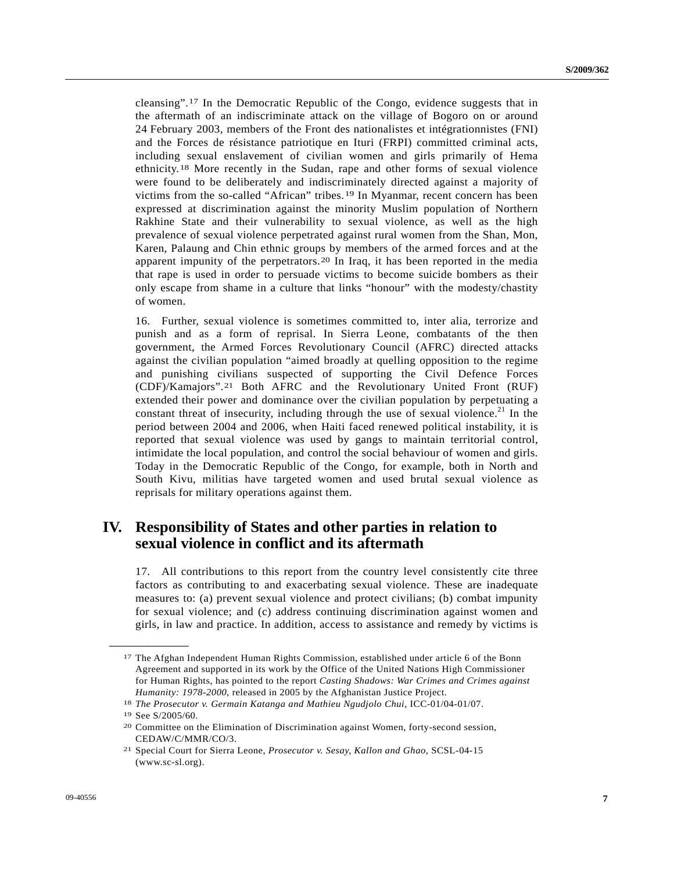<span id="page-6-5"></span>cleansing".[17](#page-6-0) In the Democratic Republic of the Congo, evidence suggests that in the aftermath of an indiscriminate attack on the village of Bogoro on or around 24 February 2003, members of the Front des nationalistes et intégrationnistes (FNI) and the Forces de résistance patriotique en Ituri (FRPI) committed criminal acts, including sexual enslavement of civilian women and girls primarily of Hema ethnicity.[18](#page-6-1) More recently in the Sudan, rape and other forms of sexual violence were found to be deliberately and indiscriminately directed against a majority of victims from the so-called "African" tribes.[19](#page-6-2) In Myanmar, recent concern has been expressed at discrimination against the minority Muslim population of Northern Rakhine State and their vulnerability to sexual violence, as well as the high prevalence of sexual violence perpetrated against rural women from the Shan, Mon, Karen, Palaung and Chin ethnic groups by members of the armed forces and at the apparent impunity of the perpetrators.[20](#page-6-3) In Iraq, it has been reported in the media that rape is used in order to persuade victims to become suicide bombers as their only escape from shame in a culture that links "honour" with the modesty/chastity of women.

16. Further, sexual violence is sometimes committed to, inter alia, terrorize and punish and as a form of reprisal. In Sierra Leone, combatants of the then government, the Armed Forces Revolutionary Council (AFRC) directed attacks against the civilian population "aimed broadly at quelling opposition to the regime and punishing civilians suspected of supporting the Civil Defence Forces (CDF)/Kamajors".[21](#page-6-4) Both AFRC and the Revolutionary United Front (RUF) extended their power and dominance over the civilian population by perpetuating a constant threat of insecurity, including through the use of sexual violence.<sup>[21](#page-6-5)</sup> In the period between 2004 and 2006, when Haiti faced renewed political instability, it is reported that sexual violence was used by gangs to maintain territorial control, intimidate the local population, and control the social behaviour of women and girls. Today in the Democratic Republic of the Congo, for example, both in North and South Kivu, militias have targeted women and used brutal sexual violence as reprisals for military operations against them.

## **IV. Responsibility of States and other parties in relation to sexual violence in conflict and its aftermath**

17. All contributions to this report from the country level consistently cite three factors as contributing to and exacerbating sexual violence. These are inadequate measures to: (a) prevent sexual violence and protect civilians; (b) combat impunity for sexual violence; and (c) address continuing discrimination against women and girls, in law and practice. In addition, access to assistance and remedy by victims is

<span id="page-6-0"></span><sup>17</sup> The Afghan Independent Human Rights Commission, established under article 6 of the Bonn Agreement and supported in its work by the Office of the United Nations High Commissioner for Human Rights, has pointed to the report *Casting Shadows: War Crimes and Crimes against Humanity: 1978-2000*, released in 2005 by the Afghanistan Justice Project.<br><sup>18</sup> *The Prosecutor v. Germain Katanga and Mathieu Ngudjolo Chui*, ICC-01/04-01/07.<br><sup>19</sup> See S/2005/60.

<span id="page-6-1"></span>

<span id="page-6-3"></span><span id="page-6-2"></span><sup>20</sup> Committee on the Elimination of Discrimination against Women, forty-second session, CEDAW/C/MMR/CO/3.

<span id="page-6-4"></span><sup>21</sup> Special Court for Sierra Leone, *Prosecutor v. Sesay, Kallon and Ghao*, SCSL-04-15 (www.sc-sl.org).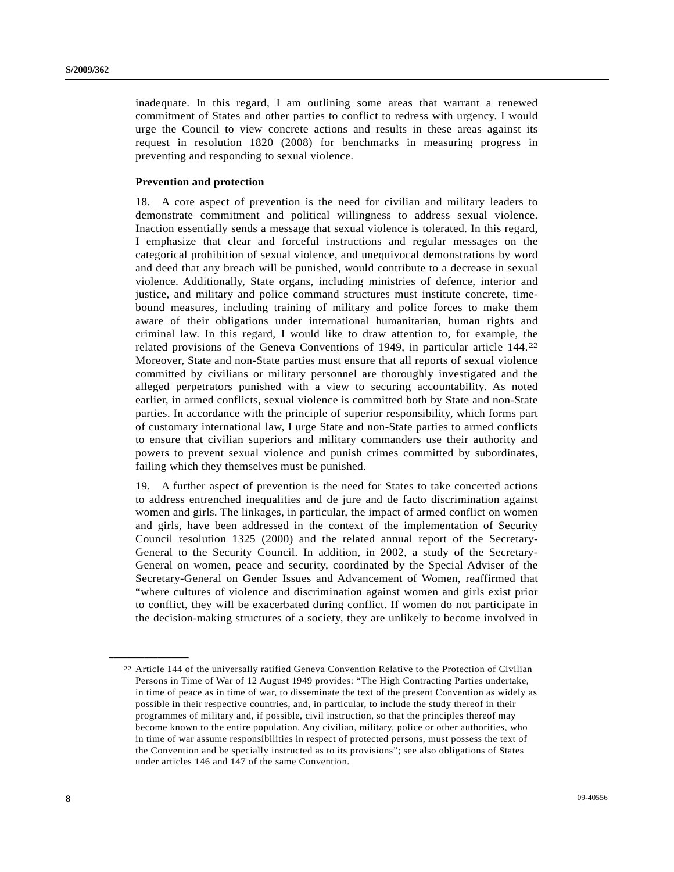inadequate. In this regard, I am outlining some areas that warrant a renewed commitment of States and other parties to conflict to redress with urgency. I would urge the Council to view concrete actions and results in these areas against its request in resolution 1820 (2008) for benchmarks in measuring progress in preventing and responding to sexual violence.

### **Prevention and protection**

18. A core aspect of prevention is the need for civilian and military leaders to demonstrate commitment and political willingness to address sexual violence. Inaction essentially sends a message that sexual violence is tolerated. In this regard, I emphasize that clear and forceful instructions and regular messages on the categorical prohibition of sexual violence, and unequivocal demonstrations by word and deed that any breach will be punished, would contribute to a decrease in sexual violence. Additionally, State organs, including ministries of defence, interior and justice, and military and police command structures must institute concrete, timebound measures, including training of military and police forces to make them aware of their obligations under international humanitarian, human rights and criminal law. In this regard, I would like to draw attention to, for example, the related provisions of the Geneva Conventions of 1949, in particular article 144.[22](#page-7-0) Moreover, State and non-State parties must ensure that all reports of sexual violence committed by civilians or military personnel are thoroughly investigated and the alleged perpetrators punished with a view to securing accountability. As noted earlier, in armed conflicts, sexual violence is committed both by State and non-State parties. In accordance with the principle of superior responsibility, which forms part of customary international law, I urge State and non-State parties to armed conflicts to ensure that civilian superiors and military commanders use their authority and powers to prevent sexual violence and punish crimes committed by subordinates, failing which they themselves must be punished.

19. A further aspect of prevention is the need for States to take concerted actions to address entrenched inequalities and de jure and de facto discrimination against women and girls. The linkages, in particular, the impact of armed conflict on women and girls, have been addressed in the context of the implementation of Security Council resolution 1325 (2000) and the related annual report of the Secretary-General to the Security Council. In addition, in 2002, a study of the Secretary-General on women, peace and security, coordinated by the Special Adviser of the Secretary-General on Gender Issues and Advancement of Women, reaffirmed that "where cultures of violence and discrimination against women and girls exist prior to conflict, they will be exacerbated during conflict. If women do not participate in the decision-making structures of a society, they are unlikely to become involved in

<span id="page-7-0"></span><sup>22</sup> Article 144 of the universally ratified Geneva Convention Relative to the Protection of Civilian Persons in Time of War of 12 August 1949 provides: "The High Contracting Parties undertake, in time of peace as in time of war, to disseminate the text of the present Convention as widely as possible in their respective countries, and, in particular, to include the study thereof in their programmes of military and, if possible, civil instruction, so that the principles thereof may become known to the entire population. Any civilian, military, police or other authorities, who in time of war assume responsibilities in respect of protected persons, must possess the text of the Convention and be specially instructed as to its provisions"; see also obligations of States under articles 146 and 147 of the same Convention.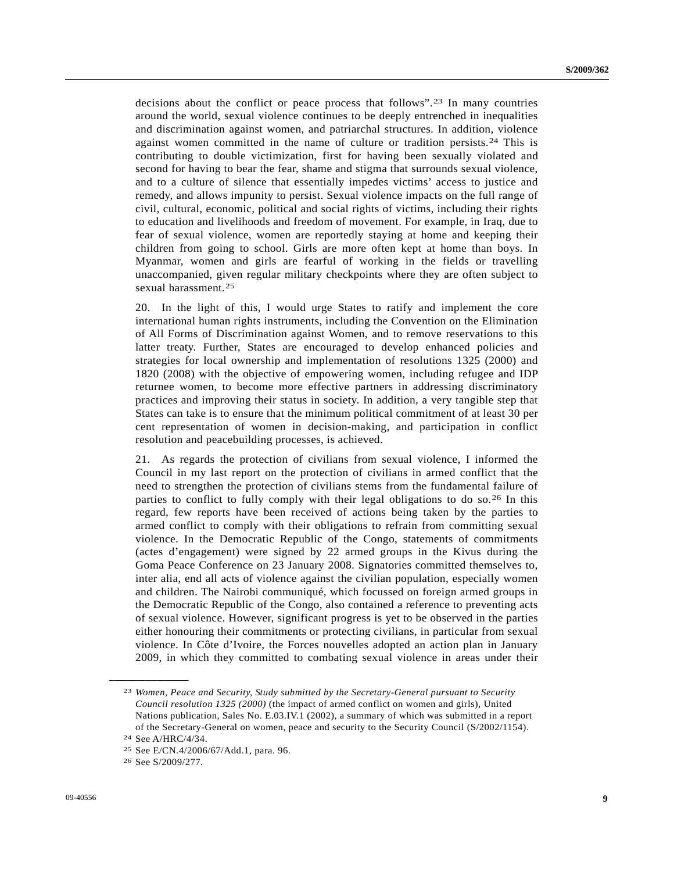decisions about the conflict or peace process that follows".[2](#page-8-0)3 In many countries around the world, sexual violence continues to be deeply entrenched in inequalities and discrimination against women, and patriarchal structures. In addition, violence against women committed in the name of culture or tradition persists.[24](#page-8-1) This is contributing to double victimization, first for having been sexually violated and second for having to bear the fear, shame and stigma that surrounds sexual violence, and to a culture of silence that essentially impedes victims' access to justice and remedy, and allows impunity to persist. Sexual violence impacts on the full range of civil, cultural, economic, political and social rights of victims, including their rights to education and livelihoods and freedom of movement. For example, in Iraq, due to fear of sexual violence, women are reportedly staying at home and keeping their children from going to school. Girls are more often kept at home than boys. In Myanmar, women and girls are fearful of working in the fields or travelling unaccompanied, given regular military checkpoints where they are often subject to sexual harassment.[2](#page-8-2)5

20. In the light of this, I would urge States to ratify and implement the core international human rights instruments, including the Convention on the Elimination of All Forms of Discrimination against Women, and to remove reservations to this latter treaty. Further, States are encouraged to develop enhanced policies and strategies for local ownership and implementation of resolutions 1325 (2000) and 1820 (2008) with the objective of empowering women, including refugee and IDP returnee women, to become more effective partners in addressing discriminatory practices and improving their status in society. In addition, a very tangible step that States can take is to ensure that the minimum political commitment of at least 30 per cent representation of women in decision-making, and participation in conflict resolution and peacebuilding processes, is achieved.

21. As regards the protection of civilians from sexual violence, I informed the Council in my last report on the protection of civilians in armed conflict that the need to strengthen the protection of civilians stems from the fundamental failure of parties to conflict to fully comply with their legal obligations to do so.[2](#page-8-3)6 In this regard, few reports have been received of actions being taken by the parties to armed conflict to comply with their obligations to refrain from committing sexual violence. In the Democratic Republic of the Congo, statements of commitments (actes d'engagement) were signed by 22 armed groups in the Kivus during the Goma Peace Conference on 23 January 2008. Signatories committed themselves to, inter alia, end all acts of violence against the civilian population, especially women and children. The Nairobi communiqué, which focussed on foreign armed groups in the Democratic Republic of the Congo, also contained a reference to preventing acts of sexual violence. However, significant progress is yet to be observed in the parties either honouring their commitments or protecting civilians, in particular from sexual violence. In Côte d'Ivoire, the Forces nouvelles adopted an action plan in January 2009, in which they committed to combating sexual violence in areas under their

<span id="page-8-0"></span><sup>23</sup> *Women, Peace and Security, Study submitted by the Secretary-General pursuant to Security Council resolution 1325 (2000)* (the impact of armed conflict on women and girls), United Nations publication, Sales No. E.03.IV.1 (2002), a summary of which was submitted in a report of the Secretary-General on women, peace and security to the Security Council (S/2002/1154).

<span id="page-8-1"></span><sup>24</sup> See A/HRC/4/34.

<span id="page-8-2"></span><sup>25</sup> See E/CN.4/2006/67/Add.1, para. 96.

<span id="page-8-3"></span><sup>26</sup> See S/2009/277.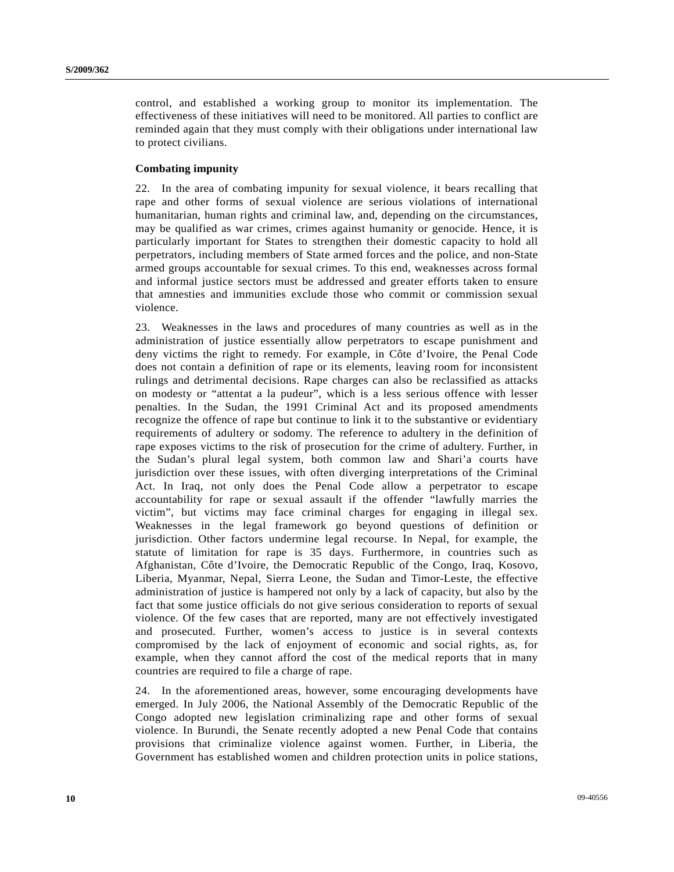control, and established a working group to monitor its implementation. The effectiveness of these initiatives will need to be monitored. All parties to conflict are reminded again that they must comply with their obligations under international law to protect civilians.

### **Combating impunity**

22. In the area of combating impunity for sexual violence, it bears recalling that rape and other forms of sexual violence are serious violations of international humanitarian, human rights and criminal law, and, depending on the circumstances, may be qualified as war crimes, crimes against humanity or genocide. Hence, it is particularly important for States to strengthen their domestic capacity to hold all perpetrators, including members of State armed forces and the police, and non-State armed groups accountable for sexual crimes. To this end, weaknesses across formal and informal justice sectors must be addressed and greater efforts taken to ensure that amnesties and immunities exclude those who commit or commission sexual violence.

23. Weaknesses in the laws and procedures of many countries as well as in the administration of justice essentially allow perpetrators to escape punishment and deny victims the right to remedy. For example, in Côte d'Ivoire, the Penal Code does not contain a definition of rape or its elements, leaving room for inconsistent rulings and detrimental decisions. Rape charges can also be reclassified as attacks on modesty or "attentat a la pudeur", which is a less serious offence with lesser penalties. In the Sudan, the 1991 Criminal Act and its proposed amendments recognize the offence of rape but continue to link it to the substantive or evidentiary requirements of adultery or sodomy. The reference to adultery in the definition of rape exposes victims to the risk of prosecution for the crime of adultery. Further, in the Sudan's plural legal system, both common law and Shari'a courts have jurisdiction over these issues, with often diverging interpretations of the Criminal Act. In Iraq, not only does the Penal Code allow a perpetrator to escape accountability for rape or sexual assault if the offender "lawfully marries the victim", but victims may face criminal charges for engaging in illegal sex. Weaknesses in the legal framework go beyond questions of definition or jurisdiction. Other factors undermine legal recourse. In Nepal, for example, the statute of limitation for rape is 35 days. Furthermore, in countries such as Afghanistan, Côte d'Ivoire, the Democratic Republic of the Congo, Iraq, Kosovo, Liberia, Myanmar, Nepal, Sierra Leone, the Sudan and Timor-Leste, the effective administration of justice is hampered not only by a lack of capacity, but also by the fact that some justice officials do not give serious consideration to reports of sexual violence. Of the few cases that are reported, many are not effectively investigated and prosecuted. Further, women's access to justice is in several contexts compromised by the lack of enjoyment of economic and social rights, as, for example, when they cannot afford the cost of the medical reports that in many countries are required to file a charge of rape.

24. In the aforementioned areas, however, some encouraging developments have emerged. In July 2006, the National Assembly of the Democratic Republic of the Congo adopted new legislation criminalizing rape and other forms of sexual violence. In Burundi, the Senate recently adopted a new Penal Code that contains provisions that criminalize violence against women. Further, in Liberia, the Government has established women and children protection units in police stations,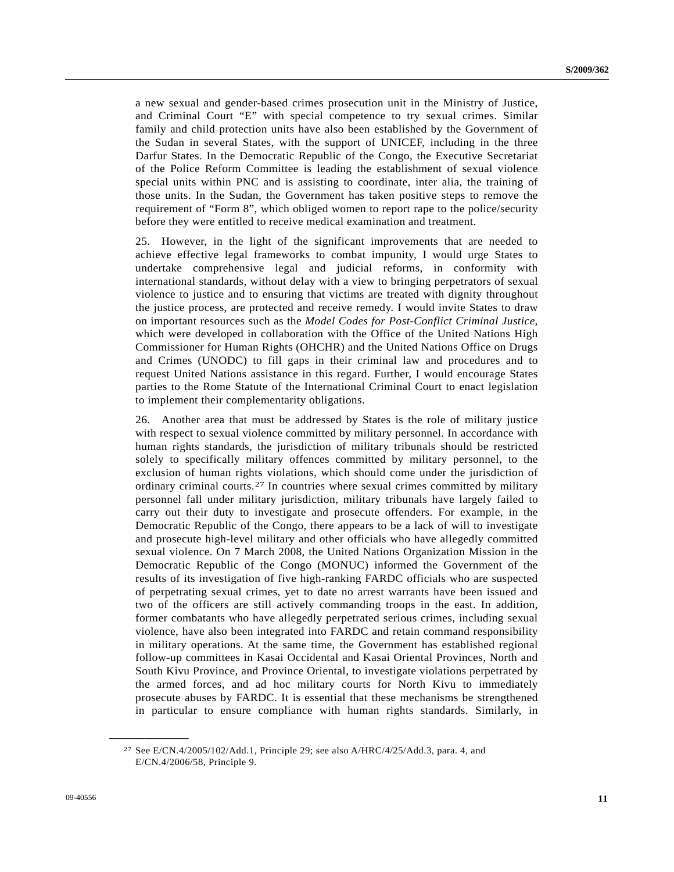a new sexual and gender-based crimes prosecution unit in the Ministry of Justice, and Criminal Court "E" with special competence to try sexual crimes. Similar family and child protection units have also been established by the Government of the Sudan in several States, with the support of UNICEF, including in the three Darfur States. In the Democratic Republic of the Congo, the Executive Secretariat of the Police Reform Committee is leading the establishment of sexual violence special units within PNC and is assisting to coordinate, inter alia, the training of those units. In the Sudan, the Government has taken positive steps to remove the requirement of "Form 8", which obliged women to report rape to the police/security before they were entitled to receive medical examination and treatment.

25. However, in the light of the significant improvements that are needed to achieve effective legal frameworks to combat impunity, I would urge States to undertake comprehensive legal and judicial reforms, in conformity with international standards, without delay with a view to bringing perpetrators of sexual violence to justice and to ensuring that victims are treated with dignity throughout the justice process, are protected and receive remedy. I would invite States to draw on important resources such as the *Model Codes for Post-Conflict Criminal Justice*, which were developed in collaboration with the Office of the United Nations High Commissioner for Human Rights (OHCHR) and the United Nations Office on Drugs and Crimes (UNODC) to fill gaps in their criminal law and procedures and to request United Nations assistance in this regard. Further, I would encourage States parties to the Rome Statute of the International Criminal Court to enact legislation to implement their complementarity obligations.

26. Another area that must be addressed by States is the role of military justice with respect to sexual violence committed by military personnel. In accordance with human rights standards, the jurisdiction of military tribunals should be restricted solely to specifically military offences committed by military personnel, to the exclusion of human rights violations, which should come under the jurisdiction of ordinary criminal courts.[2](#page-10-0)7 In countries where sexual crimes committed by military personnel fall under military jurisdiction, military tribunals have largely failed to carry out their duty to investigate and prosecute offenders. For example, in the Democratic Republic of the Congo, there appears to be a lack of will to investigate and prosecute high-level military and other officials who have allegedly committed sexual violence. On 7 March 2008, the United Nations Organization Mission in the Democratic Republic of the Congo (MONUC) informed the Government of the results of its investigation of five high-ranking FARDC officials who are suspected of perpetrating sexual crimes, yet to date no arrest warrants have been issued and two of the officers are still actively commanding troops in the east. In addition, former combatants who have allegedly perpetrated serious crimes, including sexual violence, have also been integrated into FARDC and retain command responsibility in military operations. At the same time, the Government has established regional follow-up committees in Kasai Occidental and Kasai Oriental Provinces, North and South Kivu Province, and Province Oriental, to investigate violations perpetrated by the armed forces, and ad hoc military courts for North Kivu to immediately prosecute abuses by FARDC. It is essential that these mechanisms be strengthened in particular to ensure compliance with human rights standards. Similarly, in

<span id="page-10-0"></span><sup>27</sup> See E/CN.4/2005/102/Add.1, Principle 29; see also A/HRC/4/25/Add.3, para. 4, and E/CN.4/2006/58, Principle 9.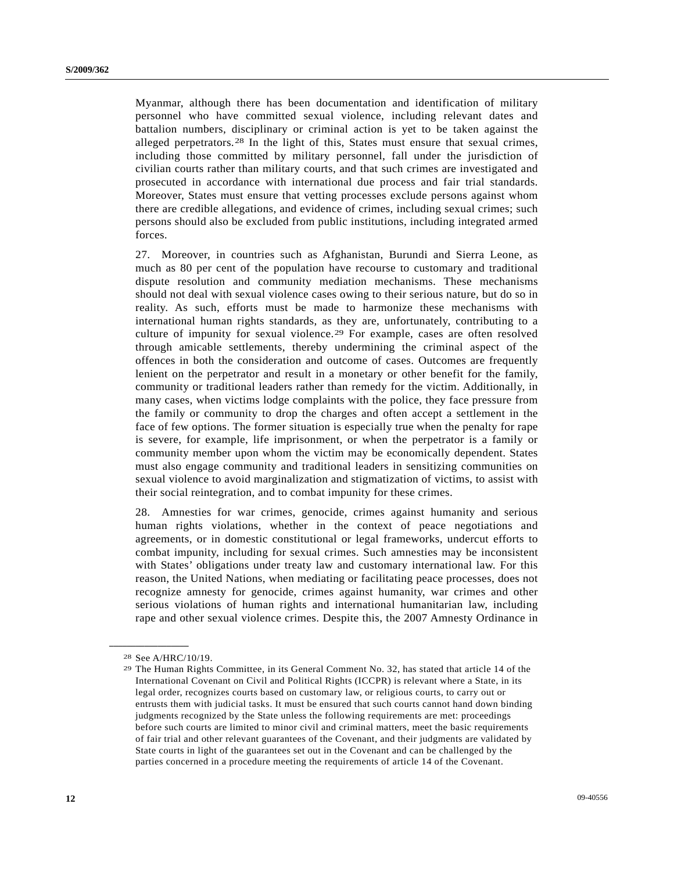Myanmar, although there has been documentation and identification of military personnel who have committed sexual violence, including relevant dates and battalion numbers, disciplinary or criminal action is yet to be taken against the alleged perpetrators.[28](#page-11-0) In the light of this, States must ensure that sexual crimes, including those committed by military personnel, fall under the jurisdiction of civilian courts rather than military courts, and that such crimes are investigated and prosecuted in accordance with international due process and fair trial standards. Moreover, States must ensure that vetting processes exclude persons against whom there are credible allegations, and evidence of crimes, including sexual crimes; such persons should also be excluded from public institutions, including integrated armed forces.

27. Moreover, in countries such as Afghanistan, Burundi and Sierra Leone, as much as 80 per cent of the population have recourse to customary and traditional dispute resolution and community mediation mechanisms. These mechanisms should not deal with sexual violence cases owing to their serious nature, but do so in reality. As such, efforts must be made to harmonize these mechanisms with international human rights standards, as they are, unfortunately, contributing to a culture of impunity for sexual violence.[2](#page-11-1)9 For example, cases are often resolved through amicable settlements, thereby undermining the criminal aspect of the offences in both the consideration and outcome of cases. Outcomes are frequently lenient on the perpetrator and result in a monetary or other benefit for the family, community or traditional leaders rather than remedy for the victim. Additionally, in many cases, when victims lodge complaints with the police, they face pressure from the family or community to drop the charges and often accept a settlement in the face of few options. The former situation is especially true when the penalty for rape is severe, for example, life imprisonment, or when the perpetrator is a family or community member upon whom the victim may be economically dependent. States must also engage community and traditional leaders in sensitizing communities on sexual violence to avoid marginalization and stigmatization of victims, to assist with their social reintegration, and to combat impunity for these crimes.

28. Amnesties for war crimes, genocide, crimes against humanity and serious human rights violations, whether in the context of peace negotiations and agreements, or in domestic constitutional or legal frameworks, undercut efforts to combat impunity, including for sexual crimes. Such amnesties may be inconsistent with States' obligations under treaty law and customary international law. For this reason, the United Nations, when mediating or facilitating peace processes, does not recognize amnesty for genocide, crimes against humanity, war crimes and other serious violations of human rights and international humanitarian law, including rape and other sexual violence crimes. Despite this, the 2007 Amnesty Ordinance in

<span id="page-11-0"></span><sup>28</sup> See A/HRC/10/19.

<span id="page-11-1"></span><sup>29</sup> The Human Rights Committee, in its General Comment No. 32, has stated that article 14 of the International Covenant on Civil and Political Rights (ICCPR) is relevant where a State, in its legal order, recognizes courts based on customary law, or religious courts, to carry out or entrusts them with judicial tasks. It must be ensured that such courts cannot hand down binding judgments recognized by the State unless the following requirements are met: proceedings before such courts are limited to minor civil and criminal matters, meet the basic requirements of fair trial and other relevant guarantees of the Covenant, and their judgments are validated by State courts in light of the guarantees set out in the Covenant and can be challenged by the parties concerned in a procedure meeting the requirements of article 14 of the Covenant.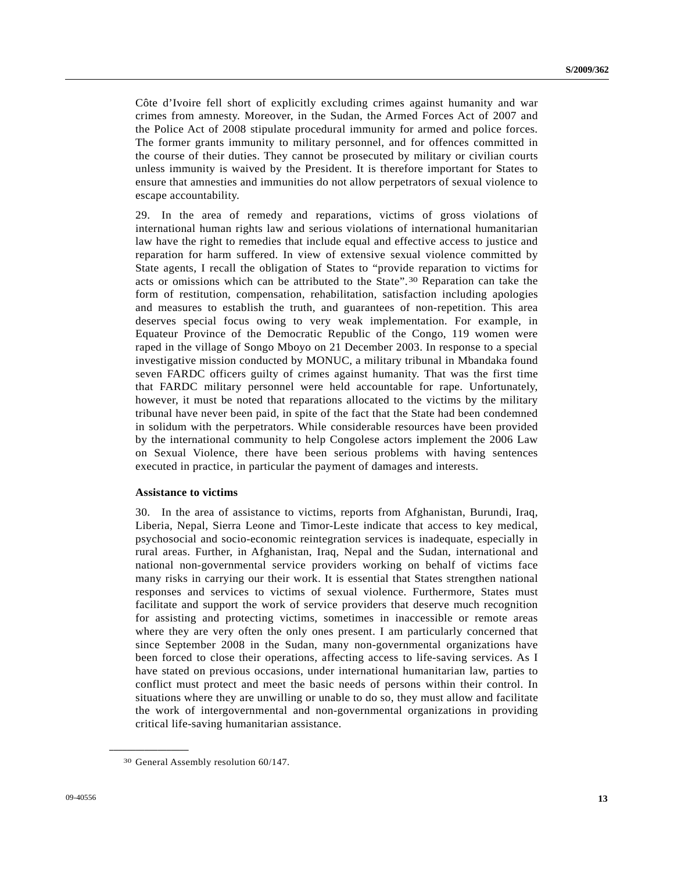Côte d'Ivoire fell short of explicitly excluding crimes against humanity and war crimes from amnesty. Moreover, in the Sudan, the Armed Forces Act of 2007 and the Police Act of 2008 stipulate procedural immunity for armed and police forces. The former grants immunity to military personnel, and for offences committed in the course of their duties. They cannot be prosecuted by military or civilian courts unless immunity is waived by the President. It is therefore important for States to ensure that amnesties and immunities do not allow perpetrators of sexual violence to escape accountability.

29. In the area of remedy and reparations, victims of gross violations of international human rights law and serious violations of international humanitarian law have the right to remedies that include equal and effective access to justice and reparation for harm suffered. In view of extensive sexual violence committed by State agents, I recall the obligation of States to "provide reparation to victims for acts or omissions which can be attributed to the State".[3](#page-12-0)0 Reparation can take the form of restitution, compensation, rehabilitation, satisfaction including apologies and measures to establish the truth, and guarantees of non-repetition. This area deserves special focus owing to very weak implementation. For example, in Equateur Province of the Democratic Republic of the Congo, 119 women were raped in the village of Songo Mboyo on 21 December 2003. In response to a special investigative mission conducted by MONUC, a military tribunal in Mbandaka found seven FARDC officers guilty of crimes against humanity. That was the first time that FARDC military personnel were held accountable for rape. Unfortunately, however, it must be noted that reparations allocated to the victims by the military tribunal have never been paid, in spite of the fact that the State had been condemned in solidum with the perpetrators. While considerable resources have been provided by the international community to help Congolese actors implement the 2006 Law on Sexual Violence, there have been serious problems with having sentences executed in practice, in particular the payment of damages and interests.

#### **Assistance to victims**

30. In the area of assistance to victims, reports from Afghanistan, Burundi, Iraq, Liberia, Nepal, Sierra Leone and Timor-Leste indicate that access to key medical, psychosocial and socio-economic reintegration services is inadequate, especially in rural areas. Further, in Afghanistan, Iraq, Nepal and the Sudan, international and national non-governmental service providers working on behalf of victims face many risks in carrying our their work. It is essential that States strengthen national responses and services to victims of sexual violence. Furthermore, States must facilitate and support the work of service providers that deserve much recognition for assisting and protecting victims, sometimes in inaccessible or remote areas where they are very often the only ones present. I am particularly concerned that since September 2008 in the Sudan, many non-governmental organizations have been forced to close their operations, affecting access to life-saving services. As I have stated on previous occasions, under international humanitarian law, parties to conflict must protect and meet the basic needs of persons within their control. In situations where they are unwilling or unable to do so, they must allow and facilitate the work of intergovernmental and non-governmental organizations in providing critical life-saving humanitarian assistance.

<span id="page-12-0"></span><sup>30</sup> General Assembly resolution 60/147.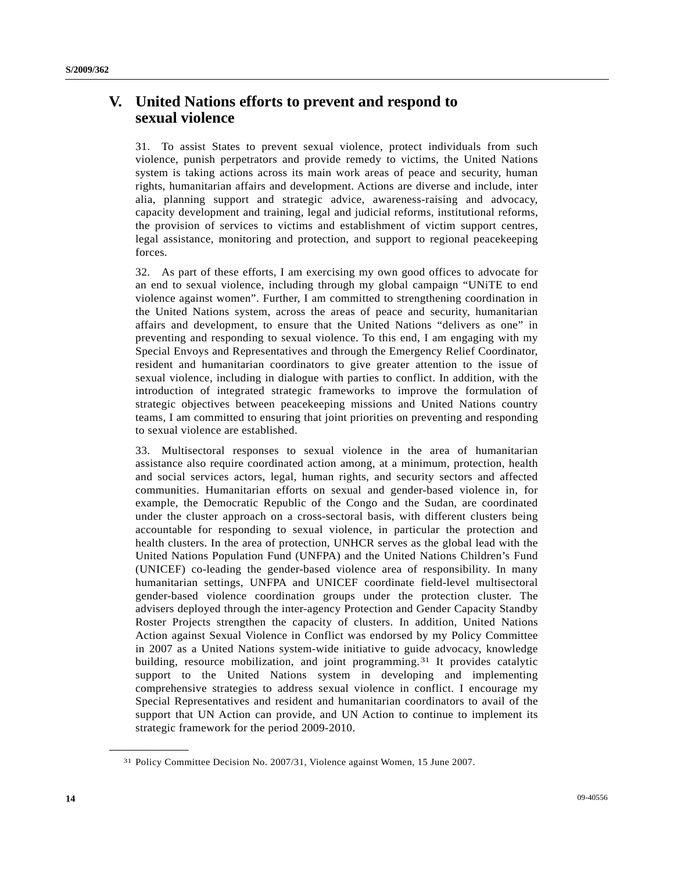# **V. United Nations efforts to prevent and respond to sexual violence**

31. To assist States to prevent sexual violence, protect individuals from such violence, punish perpetrators and provide remedy to victims, the United Nations system is taking actions across its main work areas of peace and security, human rights, humanitarian affairs and development. Actions are diverse and include, inter alia, planning support and strategic advice, awareness-raising and advocacy, capacity development and training, legal and judicial reforms, institutional reforms, the provision of services to victims and establishment of victim support centres, legal assistance, monitoring and protection, and support to regional peacekeeping forces.

32. As part of these efforts, I am exercising my own good offices to advocate for an end to sexual violence, including through my global campaign "UNiTE to end violence against women". Further, I am committed to strengthening coordination in the United Nations system, across the areas of peace and security, humanitarian affairs and development, to ensure that the United Nations "delivers as one" in preventing and responding to sexual violence. To this end, I am engaging with my Special Envoys and Representatives and through the Emergency Relief Coordinator, resident and humanitarian coordinators to give greater attention to the issue of sexual violence, including in dialogue with parties to conflict. In addition, with the introduction of integrated strategic frameworks to improve the formulation of strategic objectives between peacekeeping missions and United Nations country teams, I am committed to ensuring that joint priorities on preventing and responding to sexual violence are established.

33. Multisectoral responses to sexual violence in the area of humanitarian assistance also require coordinated action among, at a minimum, protection, health and social services actors, legal, human rights, and security sectors and affected communities. Humanitarian efforts on sexual and gender-based violence in, for example, the Democratic Republic of the Congo and the Sudan, are coordinated under the cluster approach on a cross-sectoral basis, with different clusters being accountable for responding to sexual violence, in particular the protection and health clusters. In the area of protection, UNHCR serves as the global lead with the United Nations Population Fund (UNFPA) and the United Nations Children's Fund (UNICEF) co-leading the gender-based violence area of responsibility. In many humanitarian settings, UNFPA and UNICEF coordinate field-level multisectoral gender-based violence coordination groups under the protection cluster. The advisers deployed through the inter-agency Protection and Gender Capacity Standby Roster Projects strengthen the capacity of clusters. In addition, United Nations Action against Sexual Violence in Conflict was endorsed by my Policy Committee in 2007 as a United Nations system-wide initiative to guide advocacy, knowledge building, resource mobilization, and joint programming.[3](#page-13-0)1 It provides catalytic support to the United Nations system in developing and implementing comprehensive strategies to address sexual violence in conflict. I encourage my Special Representatives and resident and humanitarian coordinators to avail of the support that UN Action can provide, and UN Action to continue to implement its strategic framework for the period 2009-2010.

<span id="page-13-0"></span><sup>31</sup> Policy Committee Decision No. 2007/31, Violence against Women, 15 June 2007.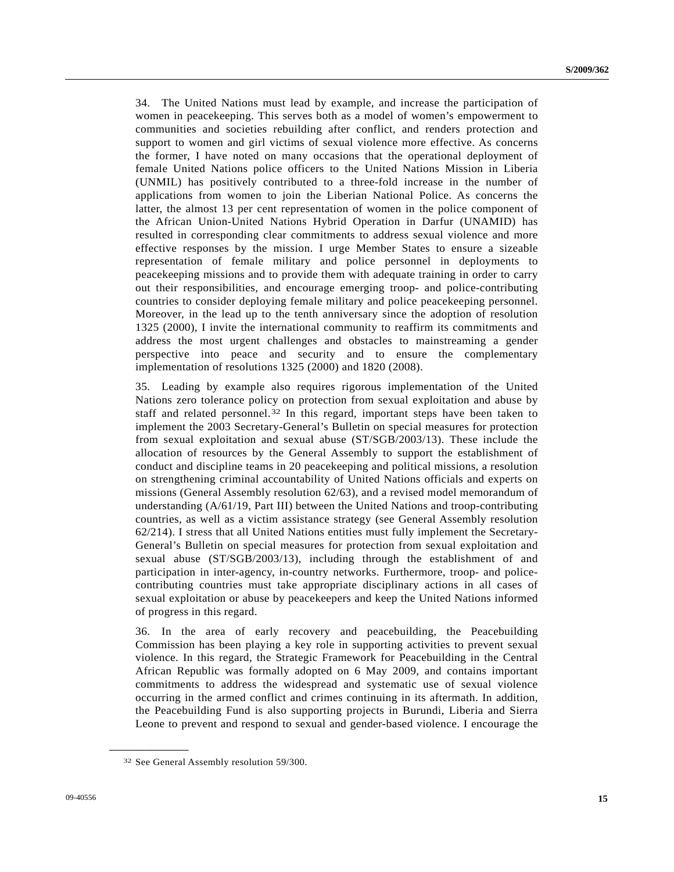34. The United Nations must lead by example, and increase the participation of women in peacekeeping. This serves both as a model of women's empowerment to communities and societies rebuilding after conflict, and renders protection and support to women and girl victims of sexual violence more effective. As concerns the former, I have noted on many occasions that the operational deployment of female United Nations police officers to the United Nations Mission in Liberia (UNMIL) has positively contributed to a three-fold increase in the number of applications from women to join the Liberian National Police. As concerns the latter, the almost 13 per cent representation of women in the police component of the African Union-United Nations Hybrid Operation in Darfur (UNAMID) has resulted in corresponding clear commitments to address sexual violence and more effective responses by the mission. I urge Member States to ensure a sizeable representation of female military and police personnel in deployments to peacekeeping missions and to provide them with adequate training in order to carry out their responsibilities, and encourage emerging troop- and police-contributing countries to consider deploying female military and police peacekeeping personnel. Moreover, in the lead up to the tenth anniversary since the adoption of resolution 1325 (2000), I invite the international community to reaffirm its commitments and address the most urgent challenges and obstacles to mainstreaming a gender perspective into peace and security and to ensure the complementary implementation of resolutions 1325 (2000) and 1820 (2008).

35. Leading by example also requires rigorous implementation of the United Nations zero tolerance policy on protection from sexual exploitation and abuse by staff and related personnel.[32](#page-14-0) In this regard, important steps have been taken to implement the 2003 Secretary-General's Bulletin on special measures for protection from sexual exploitation and sexual abuse (ST/SGB/2003/13). These include the allocation of resources by the General Assembly to support the establishment of conduct and discipline teams in 20 peacekeeping and political missions, a resolution on strengthening criminal accountability of United Nations officials and experts on missions (General Assembly resolution 62/63), and a revised model memorandum of understanding (A/61/19, Part III) between the United Nations and troop-contributing countries, as well as a victim assistance strategy (see General Assembly resolution 62/214). I stress that all United Nations entities must fully implement the Secretary-General's Bulletin on special measures for protection from sexual exploitation and sexual abuse (ST/SGB/2003/13), including through the establishment of and participation in inter-agency, in-country networks. Furthermore, troop- and policecontributing countries must take appropriate disciplinary actions in all cases of sexual exploitation or abuse by peacekeepers and keep the United Nations informed of progress in this regard.

36. In the area of early recovery and peacebuilding, the Peacebuilding Commission has been playing a key role in supporting activities to prevent sexual violence. In this regard, the Strategic Framework for Peacebuilding in the Central African Republic was formally adopted on 6 May 2009, and contains important commitments to address the widespread and systematic use of sexual violence occurring in the armed conflict and crimes continuing in its aftermath. In addition, the Peacebuilding Fund is also supporting projects in Burundi, Liberia and Sierra Leone to prevent and respond to sexual and gender-based violence. I encourage the

<span id="page-14-0"></span><sup>32</sup> See General Assembly resolution 59/300.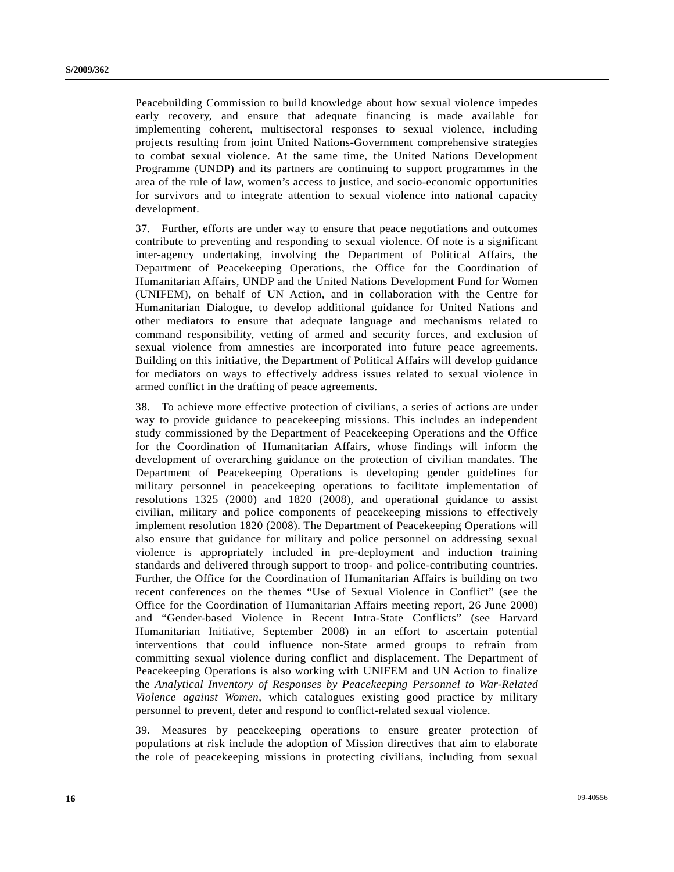Peacebuilding Commission to build knowledge about how sexual violence impedes early recovery, and ensure that adequate financing is made available for implementing coherent, multisectoral responses to sexual violence, including projects resulting from joint United Nations-Government comprehensive strategies to combat sexual violence. At the same time, the United Nations Development Programme (UNDP) and its partners are continuing to support programmes in the area of the rule of law, women's access to justice, and socio-economic opportunities for survivors and to integrate attention to sexual violence into national capacity development.

37. Further, efforts are under way to ensure that peace negotiations and outcomes contribute to preventing and responding to sexual violence. Of note is a significant inter-agency undertaking, involving the Department of Political Affairs, the Department of Peacekeeping Operations, the Office for the Coordination of Humanitarian Affairs, UNDP and the United Nations Development Fund for Women (UNIFEM), on behalf of UN Action, and in collaboration with the Centre for Humanitarian Dialogue, to develop additional guidance for United Nations and other mediators to ensure that adequate language and mechanisms related to command responsibility, vetting of armed and security forces, and exclusion of sexual violence from amnesties are incorporated into future peace agreements. Building on this initiative, the Department of Political Affairs will develop guidance for mediators on ways to effectively address issues related to sexual violence in armed conflict in the drafting of peace agreements.

38. To achieve more effective protection of civilians, a series of actions are under way to provide guidance to peacekeeping missions. This includes an independent study commissioned by the Department of Peacekeeping Operations and the Office for the Coordination of Humanitarian Affairs, whose findings will inform the development of overarching guidance on the protection of civilian mandates. The Department of Peacekeeping Operations is developing gender guidelines for military personnel in peacekeeping operations to facilitate implementation of resolutions 1325 (2000) and 1820 (2008), and operational guidance to assist civilian, military and police components of peacekeeping missions to effectively implement resolution 1820 (2008). The Department of Peacekeeping Operations will also ensure that guidance for military and police personnel on addressing sexual violence is appropriately included in pre-deployment and induction training standards and delivered through support to troop- and police-contributing countries. Further, the Office for the Coordination of Humanitarian Affairs is building on two recent conferences on the themes "Use of Sexual Violence in Conflict" (see the Office for the Coordination of Humanitarian Affairs meeting report, 26 June 2008) and "Gender-based Violence in Recent Intra-State Conflicts" (see Harvard Humanitarian Initiative, September 2008) in an effort to ascertain potential interventions that could influence non-State armed groups to refrain from committing sexual violence during conflict and displacement. The Department of Peacekeeping Operations is also working with UNIFEM and UN Action to finalize the *Analytical Inventory of Responses by Peacekeeping Personnel to War-Related Violence against Women*, which catalogues existing good practice by military personnel to prevent, deter and respond to conflict-related sexual violence.

39. Measures by peacekeeping operations to ensure greater protection of populations at risk include the adoption of Mission directives that aim to elaborate the role of peacekeeping missions in protecting civilians, including from sexual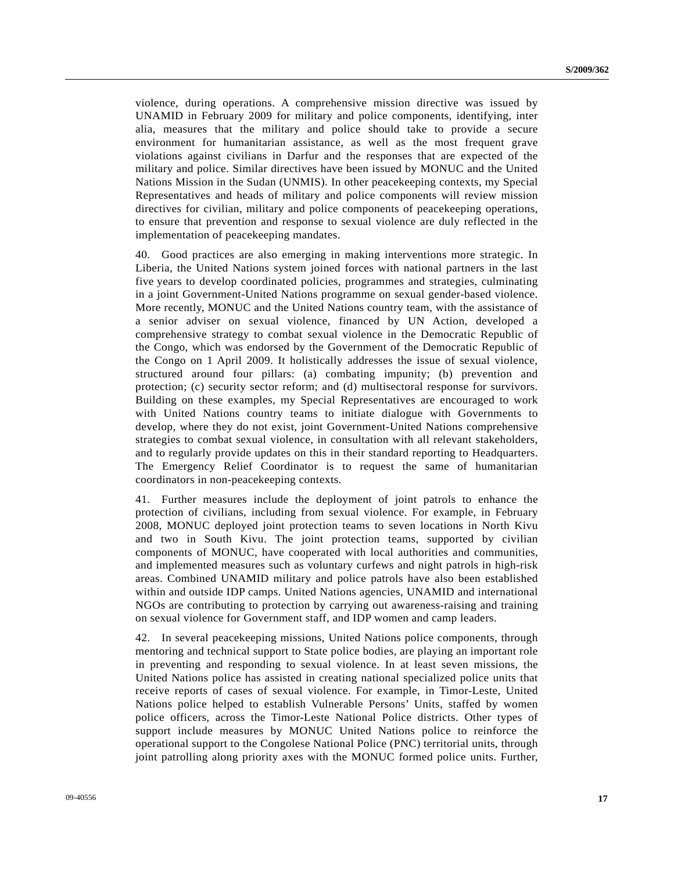violence, during operations. A comprehensive mission directive was issued by UNAMID in February 2009 for military and police components, identifying, inter alia, measures that the military and police should take to provide a secure environment for humanitarian assistance, as well as the most frequent grave violations against civilians in Darfur and the responses that are expected of the military and police. Similar directives have been issued by MONUC and the United Nations Mission in the Sudan (UNMIS). In other peacekeeping contexts, my Special Representatives and heads of military and police components will review mission directives for civilian, military and police components of peacekeeping operations, to ensure that prevention and response to sexual violence are duly reflected in the implementation of peacekeeping mandates.

40. Good practices are also emerging in making interventions more strategic. In Liberia, the United Nations system joined forces with national partners in the last five years to develop coordinated policies, programmes and strategies, culminating in a joint Government-United Nations programme on sexual gender-based violence. More recently, MONUC and the United Nations country team, with the assistance of a senior adviser on sexual violence, financed by UN Action, developed a comprehensive strategy to combat sexual violence in the Democratic Republic of the Congo, which was endorsed by the Government of the Democratic Republic of the Congo on 1 April 2009. It holistically addresses the issue of sexual violence, structured around four pillars: (a) combating impunity; (b) prevention and protection; (c) security sector reform; and (d) multisectoral response for survivors. Building on these examples, my Special Representatives are encouraged to work with United Nations country teams to initiate dialogue with Governments to develop, where they do not exist, joint Government-United Nations comprehensive strategies to combat sexual violence, in consultation with all relevant stakeholders, and to regularly provide updates on this in their standard reporting to Headquarters. The Emergency Relief Coordinator is to request the same of humanitarian coordinators in non-peacekeeping contexts.

41. Further measures include the deployment of joint patrols to enhance the protection of civilians, including from sexual violence. For example, in February 2008, MONUC deployed joint protection teams to seven locations in North Kivu and two in South Kivu. The joint protection teams, supported by civilian components of MONUC, have cooperated with local authorities and communities, and implemented measures such as voluntary curfews and night patrols in high-risk areas. Combined UNAMID military and police patrols have also been established within and outside IDP camps. United Nations agencies, UNAMID and international NGOs are contributing to protection by carrying out awareness-raising and training on sexual violence for Government staff, and IDP women and camp leaders.

42. In several peacekeeping missions, United Nations police components, through mentoring and technical support to State police bodies, are playing an important role in preventing and responding to sexual violence. In at least seven missions, the United Nations police has assisted in creating national specialized police units that receive reports of cases of sexual violence. For example, in Timor-Leste, United Nations police helped to establish Vulnerable Persons' Units, staffed by women police officers, across the Timor-Leste National Police districts. Other types of support include measures by MONUC United Nations police to reinforce the operational support to the Congolese National Police (PNC) territorial units, through joint patrolling along priority axes with the MONUC formed police units. Further,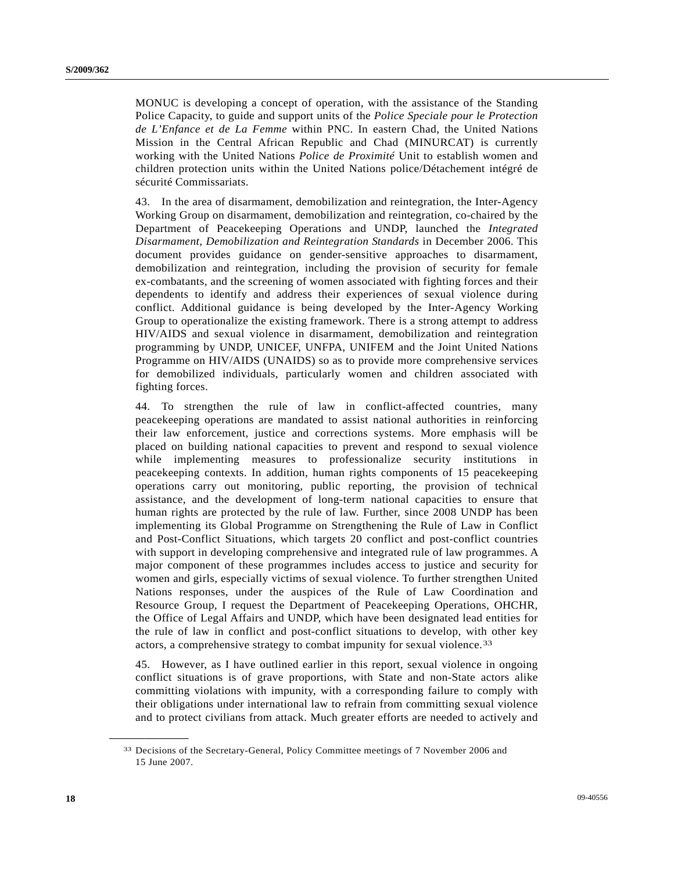MONUC is developing a concept of operation, with the assistance of the Standing Police Capacity, to guide and support units of the *Police Speciale pour le Protection de L'Enfance et de La Femme* within PNC. In eastern Chad, the United Nations Mission in the Central African Republic and Chad (MINURCAT) is currently working with the United Nations *Police de Proximité* Unit to establish women and children protection units within the United Nations police/Détachement intégré de sécurité Commissariats.

43. In the area of disarmament, demobilization and reintegration, the Inter-Agency Working Group on disarmament, demobilization and reintegration, co-chaired by the Department of Peacekeeping Operations and UNDP, launched the *Integrated Disarmament, Demobilization and Reintegration Standards* in December 2006. This document provides guidance on gender-sensitive approaches to disarmament, demobilization and reintegration, including the provision of security for female ex-combatants, and the screening of women associated with fighting forces and their dependents to identify and address their experiences of sexual violence during conflict. Additional guidance is being developed by the Inter-Agency Working Group to operationalize the existing framework. There is a strong attempt to address HIV/AIDS and sexual violence in disarmament, demobilization and reintegration programming by UNDP, UNICEF, UNFPA, UNIFEM and the Joint United Nations Programme on HIV/AIDS (UNAIDS) so as to provide more comprehensive services for demobilized individuals, particularly women and children associated with fighting forces.

44. To strengthen the rule of law in conflict-affected countries, many peacekeeping operations are mandated to assist national authorities in reinforcing their law enforcement, justice and corrections systems. More emphasis will be placed on building national capacities to prevent and respond to sexual violence while implementing measures to professionalize security institutions in peacekeeping contexts. In addition, human rights components of 15 peacekeeping operations carry out monitoring, public reporting, the provision of technical assistance, and the development of long-term national capacities to ensure that human rights are protected by the rule of law. Further, since 2008 UNDP has been implementing its Global Programme on Strengthening the Rule of Law in Conflict and Post-Conflict Situations, which targets 20 conflict and post-conflict countries with support in developing comprehensive and integrated rule of law programmes. A major component of these programmes includes access to justice and security for women and girls, especially victims of sexual violence. To further strengthen United Nations responses, under the auspices of the Rule of Law Coordination and Resource Group, I request the Department of Peacekeeping Operations, OHCHR, the Office of Legal Affairs and UNDP, which have been designated lead entities for the rule of law in conflict and post-conflict situations to develop, with other key actors, a comprehensive strategy to combat impunity for sexual violence.[3](#page-17-0)3

45. However, as I have outlined earlier in this report, sexual violence in ongoing conflict situations is of grave proportions, with State and non-State actors alike committing violations with impunity, with a corresponding failure to comply with their obligations under international law to refrain from committing sexual violence and to protect civilians from attack. Much greater efforts are needed to actively and

<span id="page-17-0"></span><sup>33</sup> Decisions of the Secretary-General, Policy Committee meetings of 7 November 2006 and 15 June 2007.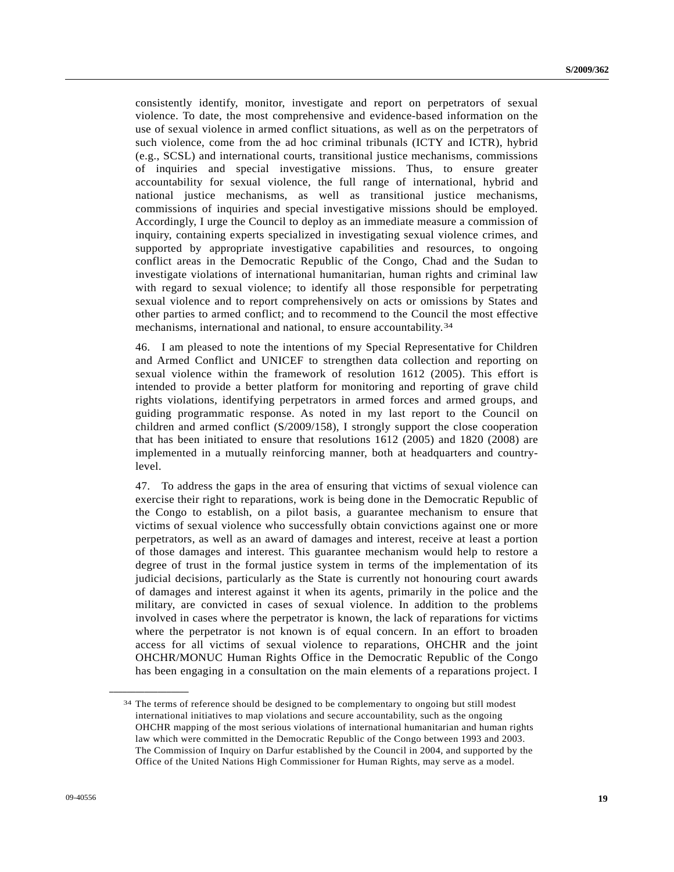consistently identify, monitor, investigate and report on perpetrators of sexual violence. To date, the most comprehensive and evidence-based information on the use of sexual violence in armed conflict situations, as well as on the perpetrators of such violence, come from the ad hoc criminal tribunals (ICTY and ICTR), hybrid (e.g., SCSL) and international courts, transitional justice mechanisms, commissions of inquiries and special investigative missions. Thus, to ensure greater accountability for sexual violence, the full range of international, hybrid and national justice mechanisms, as well as transitional justice mechanisms, commissions of inquiries and special investigative missions should be employed. Accordingly, I urge the Council to deploy as an immediate measure a commission of inquiry, containing experts specialized in investigating sexual violence crimes, and supported by appropriate investigative capabilities and resources, to ongoing conflict areas in the Democratic Republic of the Congo, Chad and the Sudan to investigate violations of international humanitarian, human rights and criminal law with regard to sexual violence; to identify all those responsible for perpetrating sexual violence and to report comprehensively on acts or omissions by States and other parties to armed conflict; and to recommend to the Council the most effective mechanisms, international and national, to ensure accountability.[3](#page-18-0)4

46. I am pleased to note the intentions of my Special Representative for Children and Armed Conflict and UNICEF to strengthen data collection and reporting on sexual violence within the framework of resolution 1612 (2005). This effort is intended to provide a better platform for monitoring and reporting of grave child rights violations, identifying perpetrators in armed forces and armed groups, and guiding programmatic response. As noted in my last report to the Council on children and armed conflict (S/2009/158), I strongly support the close cooperation that has been initiated to ensure that resolutions 1612 (2005) and 1820 (2008) are implemented in a mutually reinforcing manner, both at headquarters and countrylevel.

47. To address the gaps in the area of ensuring that victims of sexual violence can exercise their right to reparations, work is being done in the Democratic Republic of the Congo to establish, on a pilot basis, a guarantee mechanism to ensure that victims of sexual violence who successfully obtain convictions against one or more perpetrators, as well as an award of damages and interest, receive at least a portion of those damages and interest. This guarantee mechanism would help to restore a degree of trust in the formal justice system in terms of the implementation of its judicial decisions, particularly as the State is currently not honouring court awards of damages and interest against it when its agents, primarily in the police and the military, are convicted in cases of sexual violence. In addition to the problems involved in cases where the perpetrator is known, the lack of reparations for victims where the perpetrator is not known is of equal concern. In an effort to broaden access for all victims of sexual violence to reparations, OHCHR and the joint OHCHR/MONUC Human Rights Office in the Democratic Republic of the Congo has been engaging in a consultation on the main elements of a reparations project. I

<span id="page-18-0"></span><sup>&</sup>lt;sup>34</sup> The terms of reference should be designed to be complementary to ongoing but still modest international initiatives to map violations and secure accountability, such as the ongoing OHCHR mapping of the most serious violations of international humanitarian and human rights law which were committed in the Democratic Republic of the Congo between 1993 and 2003. The Commission of Inquiry on Darfur established by the Council in 2004, and supported by the Office of the United Nations High Commissioner for Human Rights, may serve as a model.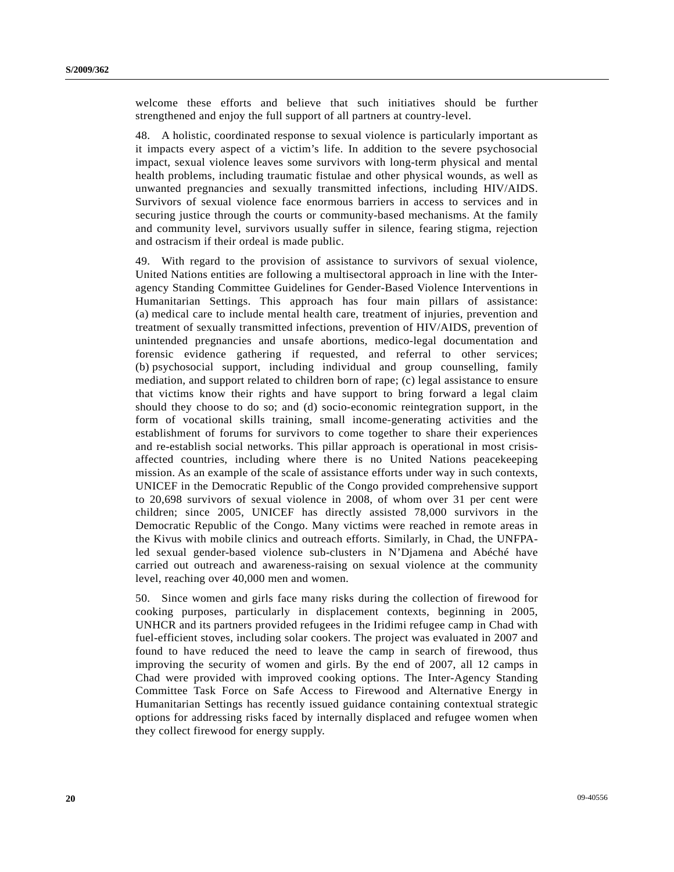welcome these efforts and believe that such initiatives should be further strengthened and enjoy the full support of all partners at country-level.

48. A holistic, coordinated response to sexual violence is particularly important as it impacts every aspect of a victim's life. In addition to the severe psychosocial impact, sexual violence leaves some survivors with long-term physical and mental health problems, including traumatic fistulae and other physical wounds, as well as unwanted pregnancies and sexually transmitted infections, including HIV/AIDS. Survivors of sexual violence face enormous barriers in access to services and in securing justice through the courts or community-based mechanisms. At the family and community level, survivors usually suffer in silence, fearing stigma, rejection and ostracism if their ordeal is made public.

49. With regard to the provision of assistance to survivors of sexual violence, United Nations entities are following a multisectoral approach in line with the Interagency Standing Committee Guidelines for Gender-Based Violence Interventions in Humanitarian Settings. This approach has four main pillars of assistance: (a) medical care to include mental health care, treatment of injuries, prevention and treatment of sexually transmitted infections, prevention of HIV/AIDS, prevention of unintended pregnancies and unsafe abortions, medico-legal documentation and forensic evidence gathering if requested, and referral to other services; (b) psychosocial support, including individual and group counselling, family mediation, and support related to children born of rape; (c) legal assistance to ensure that victims know their rights and have support to bring forward a legal claim should they choose to do so; and (d) socio-economic reintegration support, in the form of vocational skills training, small income-generating activities and the establishment of forums for survivors to come together to share their experiences and re-establish social networks. This pillar approach is operational in most crisisaffected countries, including where there is no United Nations peacekeeping mission. As an example of the scale of assistance efforts under way in such contexts, UNICEF in the Democratic Republic of the Congo provided comprehensive support to 20,698 survivors of sexual violence in 2008, of whom over 31 per cent were children; since 2005, UNICEF has directly assisted 78,000 survivors in the Democratic Republic of the Congo. Many victims were reached in remote areas in the Kivus with mobile clinics and outreach efforts. Similarly, in Chad, the UNFPAled sexual gender-based violence sub-clusters in N'Djamena and Abéché have carried out outreach and awareness-raising on sexual violence at the community level, reaching over 40,000 men and women.

50. Since women and girls face many risks during the collection of firewood for cooking purposes, particularly in displacement contexts, beginning in 2005, UNHCR and its partners provided refugees in the Iridimi refugee camp in Chad with fuel-efficient stoves, including solar cookers. The project was evaluated in 2007 and found to have reduced the need to leave the camp in search of firewood, thus improving the security of women and girls. By the end of 2007, all 12 camps in Chad were provided with improved cooking options. The Inter-Agency Standing Committee Task Force on Safe Access to Firewood and Alternative Energy in Humanitarian Settings has recently issued guidance containing contextual strategic options for addressing risks faced by internally displaced and refugee women when they collect firewood for energy supply.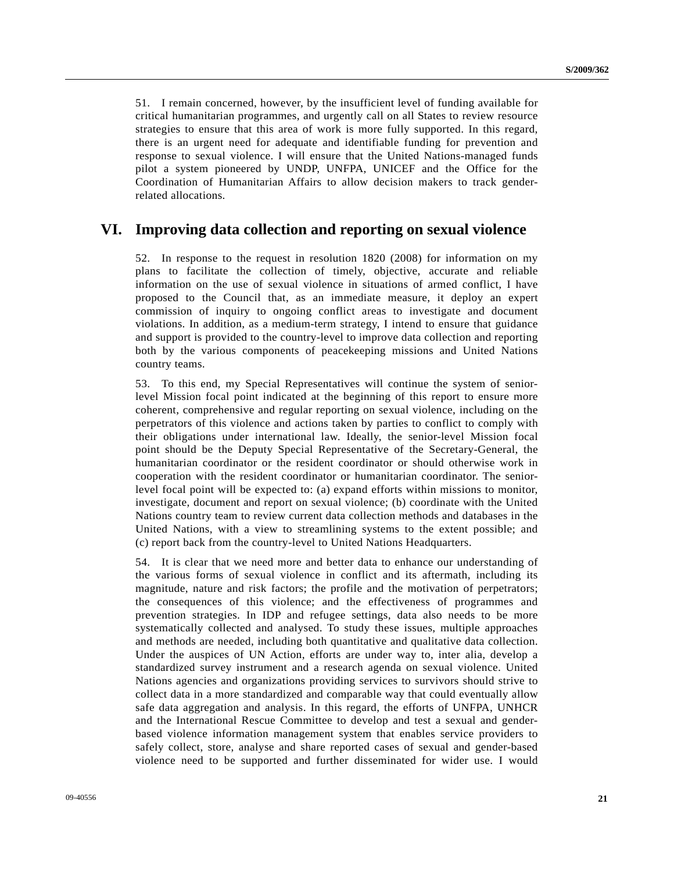51. I remain concerned, however, by the insufficient level of funding available for critical humanitarian programmes, and urgently call on all States to review resource strategies to ensure that this area of work is more fully supported. In this regard, there is an urgent need for adequate and identifiable funding for prevention and response to sexual violence. I will ensure that the United Nations-managed funds pilot a system pioneered by UNDP, UNFPA, UNICEF and the Office for the Coordination of Humanitarian Affairs to allow decision makers to track genderrelated allocations.

### **VI. Improving data collection and reporting on sexual violence**

52. In response to the request in resolution 1820 (2008) for information on my plans to facilitate the collection of timely, objective, accurate and reliable information on the use of sexual violence in situations of armed conflict, I have proposed to the Council that, as an immediate measure, it deploy an expert commission of inquiry to ongoing conflict areas to investigate and document violations. In addition, as a medium-term strategy, I intend to ensure that guidance and support is provided to the country-level to improve data collection and reporting both by the various components of peacekeeping missions and United Nations country teams.

53. To this end, my Special Representatives will continue the system of seniorlevel Mission focal point indicated at the beginning of this report to ensure more coherent, comprehensive and regular reporting on sexual violence, including on the perpetrators of this violence and actions taken by parties to conflict to comply with their obligations under international law. Ideally, the senior-level Mission focal point should be the Deputy Special Representative of the Secretary-General, the humanitarian coordinator or the resident coordinator or should otherwise work in cooperation with the resident coordinator or humanitarian coordinator. The seniorlevel focal point will be expected to: (a) expand efforts within missions to monitor, investigate, document and report on sexual violence; (b) coordinate with the United Nations country team to review current data collection methods and databases in the United Nations, with a view to streamlining systems to the extent possible; and (c) report back from the country-level to United Nations Headquarters.

54. It is clear that we need more and better data to enhance our understanding of the various forms of sexual violence in conflict and its aftermath, including its magnitude, nature and risk factors; the profile and the motivation of perpetrators; the consequences of this violence; and the effectiveness of programmes and prevention strategies. In IDP and refugee settings, data also needs to be more systematically collected and analysed. To study these issues, multiple approaches and methods are needed, including both quantitative and qualitative data collection. Under the auspices of UN Action, efforts are under way to, inter alia, develop a standardized survey instrument and a research agenda on sexual violence. United Nations agencies and organizations providing services to survivors should strive to collect data in a more standardized and comparable way that could eventually allow safe data aggregation and analysis. In this regard, the efforts of UNFPA, UNHCR and the International Rescue Committee to develop and test a sexual and genderbased violence information management system that enables service providers to safely collect, store, analyse and share reported cases of sexual and gender-based violence need to be supported and further disseminated for wider use. I would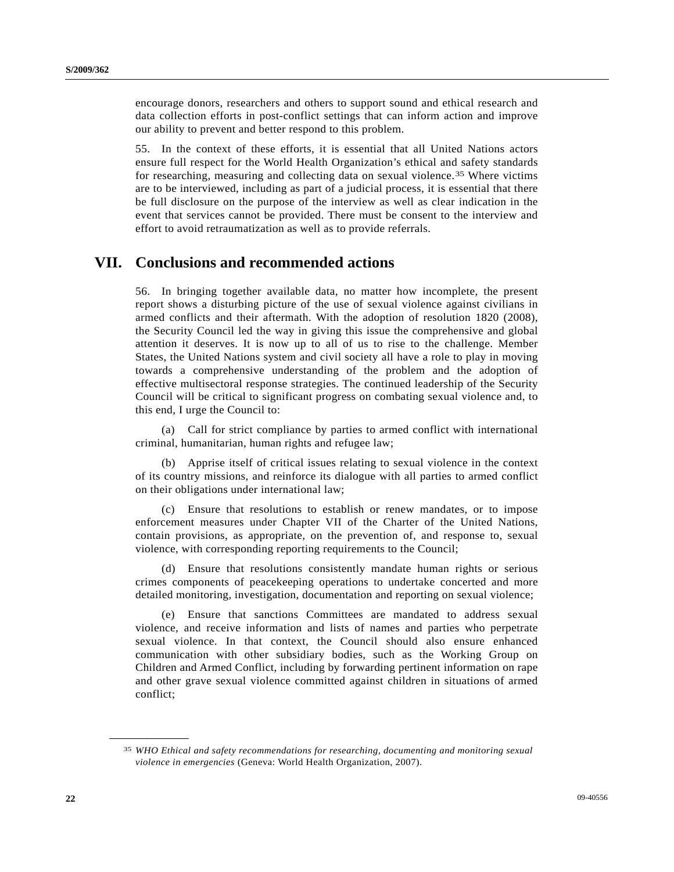encourage donors, researchers and others to support sound and ethical research and data collection efforts in post-conflict settings that can inform action and improve our ability to prevent and better respond to this problem.

55. In the context of these efforts, it is essential that all United Nations actors ensure full respect for the World Health Organization's ethical and safety standards for researching, measuring and collecting data on sexual violence.[35](#page-21-0) Where victims are to be interviewed, including as part of a judicial process, it is essential that there be full disclosure on the purpose of the interview as well as clear indication in the event that services cannot be provided. There must be consent to the interview and effort to avoid retraumatization as well as to provide referrals.

## **VII. Conclusions and recommended actions**

56. In bringing together available data, no matter how incomplete, the present report shows a disturbing picture of the use of sexual violence against civilians in armed conflicts and their aftermath. With the adoption of resolution 1820 (2008), the Security Council led the way in giving this issue the comprehensive and global attention it deserves. It is now up to all of us to rise to the challenge. Member States, the United Nations system and civil society all have a role to play in moving towards a comprehensive understanding of the problem and the adoption of effective multisectoral response strategies. The continued leadership of the Security Council will be critical to significant progress on combating sexual violence and, to this end, I urge the Council to:

 (a) Call for strict compliance by parties to armed conflict with international criminal, humanitarian, human rights and refugee law;

 (b) Apprise itself of critical issues relating to sexual violence in the context of its country missions, and reinforce its dialogue with all parties to armed conflict on their obligations under international law;

 (c) Ensure that resolutions to establish or renew mandates, or to impose enforcement measures under Chapter VII of the Charter of the United Nations, contain provisions, as appropriate, on the prevention of, and response to, sexual violence, with corresponding reporting requirements to the Council;

 (d) Ensure that resolutions consistently mandate human rights or serious crimes components of peacekeeping operations to undertake concerted and more detailed monitoring, investigation, documentation and reporting on sexual violence;

 (e) Ensure that sanctions Committees are mandated to address sexual violence, and receive information and lists of names and parties who perpetrate sexual violence. In that context, the Council should also ensure enhanced communication with other subsidiary bodies, such as the Working Group on Children and Armed Conflict, including by forwarding pertinent information on rape and other grave sexual violence committed against children in situations of armed conflict;

<span id="page-21-0"></span><sup>35</sup> *WHO Ethical and safety recommendations for researching, documenting and monitoring sexual violence in emergencies* (Geneva: World Health Organization, 2007).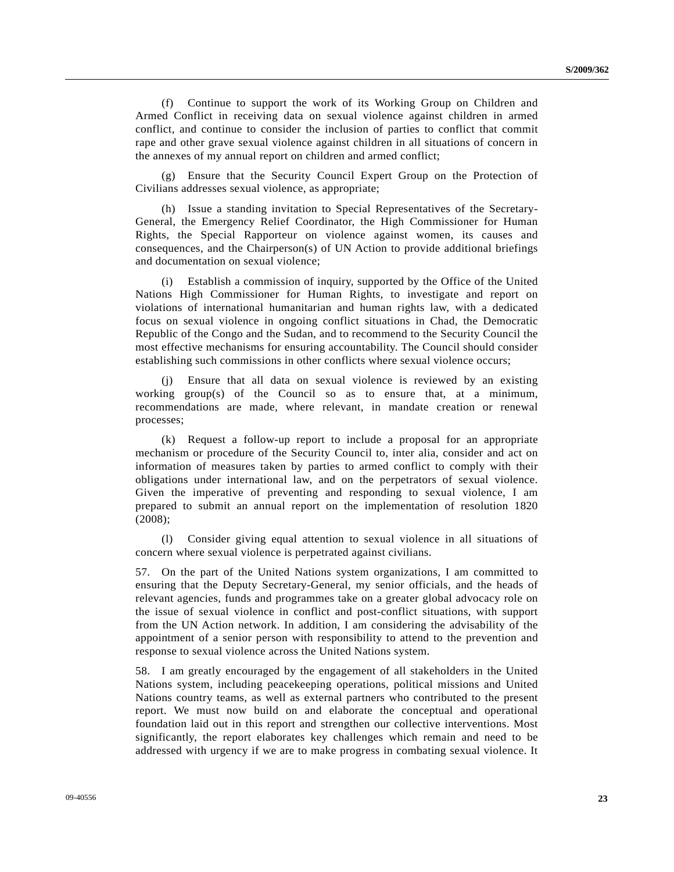(f) Continue to support the work of its Working Group on Children and Armed Conflict in receiving data on sexual violence against children in armed conflict, and continue to consider the inclusion of parties to conflict that commit rape and other grave sexual violence against children in all situations of concern in the annexes of my annual report on children and armed conflict;

 (g) Ensure that the Security Council Expert Group on the Protection of Civilians addresses sexual violence, as appropriate;

 (h) Issue a standing invitation to Special Representatives of the Secretary-General, the Emergency Relief Coordinator, the High Commissioner for Human Rights, the Special Rapporteur on violence against women, its causes and consequences, and the Chairperson(s) of UN Action to provide additional briefings and documentation on sexual violence;

 (i) Establish a commission of inquiry, supported by the Office of the United Nations High Commissioner for Human Rights, to investigate and report on violations of international humanitarian and human rights law, with a dedicated focus on sexual violence in ongoing conflict situations in Chad, the Democratic Republic of the Congo and the Sudan, and to recommend to the Security Council the most effective mechanisms for ensuring accountability. The Council should consider establishing such commissions in other conflicts where sexual violence occurs;

 (j) Ensure that all data on sexual violence is reviewed by an existing working group(s) of the Council so as to ensure that, at a minimum, recommendations are made, where relevant, in mandate creation or renewal processes;

 (k) Request a follow-up report to include a proposal for an appropriate mechanism or procedure of the Security Council to, inter alia, consider and act on information of measures taken by parties to armed conflict to comply with their obligations under international law, and on the perpetrators of sexual violence. Given the imperative of preventing and responding to sexual violence, I am prepared to submit an annual report on the implementation of resolution 1820 (2008);

 (l) Consider giving equal attention to sexual violence in all situations of concern where sexual violence is perpetrated against civilians.

57. On the part of the United Nations system organizations, I am committed to ensuring that the Deputy Secretary-General, my senior officials, and the heads of relevant agencies, funds and programmes take on a greater global advocacy role on the issue of sexual violence in conflict and post-conflict situations, with support from the UN Action network. In addition, I am considering the advisability of the appointment of a senior person with responsibility to attend to the prevention and response to sexual violence across the United Nations system.

58. I am greatly encouraged by the engagement of all stakeholders in the United Nations system, including peacekeeping operations, political missions and United Nations country teams, as well as external partners who contributed to the present report. We must now build on and elaborate the conceptual and operational foundation laid out in this report and strengthen our collective interventions. Most significantly, the report elaborates key challenges which remain and need to be addressed with urgency if we are to make progress in combating sexual violence. It